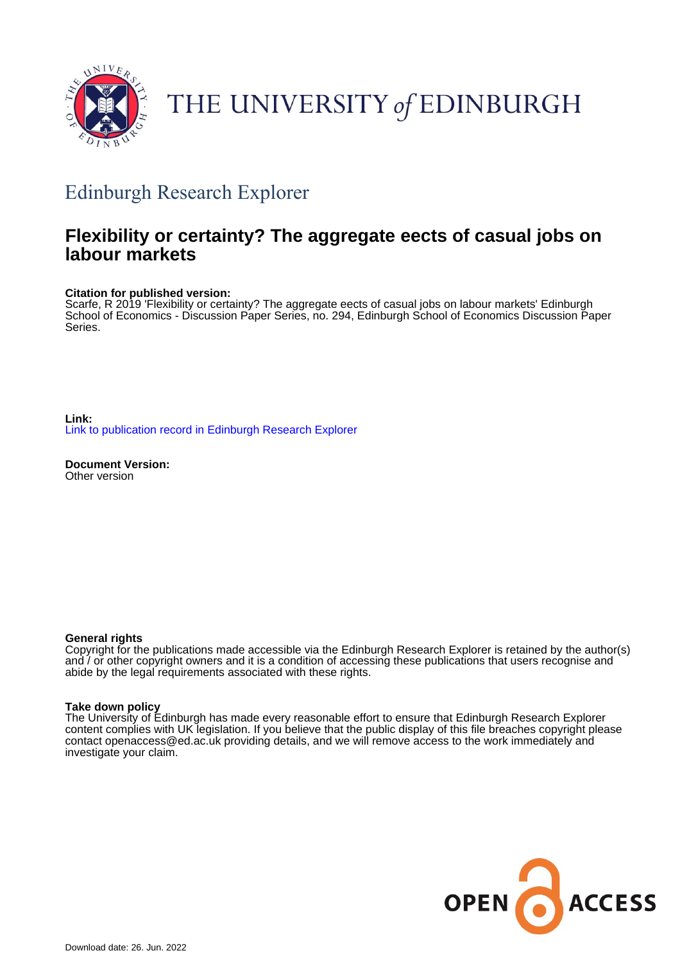

# THE UNIVERSITY of EDINBURGH

# Edinburgh Research Explorer

# **Flexibility or certainty? The aggregate eects of casual jobs on labour markets**

#### **Citation for published version:**

Scarfe, R 2019 'Flexibility or certainty? The aggregate eects of casual jobs on labour markets' Edinburgh School of Economics - Discussion Paper Series, no. 294, Edinburgh School of Economics Discussion Paper Series.

**Link:** [Link to publication record in Edinburgh Research Explorer](https://www.research.ed.ac.uk/en/publications/64e708bb-14e1-4f4a-ba32-a638c20c7d41)

**Document Version:** Other version

#### **General rights**

Copyright for the publications made accessible via the Edinburgh Research Explorer is retained by the author(s) and / or other copyright owners and it is a condition of accessing these publications that users recognise and abide by the legal requirements associated with these rights.

#### **Take down policy**

The University of Edinburgh has made every reasonable effort to ensure that Edinburgh Research Explorer content complies with UK legislation. If you believe that the public display of this file breaches copyright please contact openaccess@ed.ac.uk providing details, and we will remove access to the work immediately and investigate your claim.

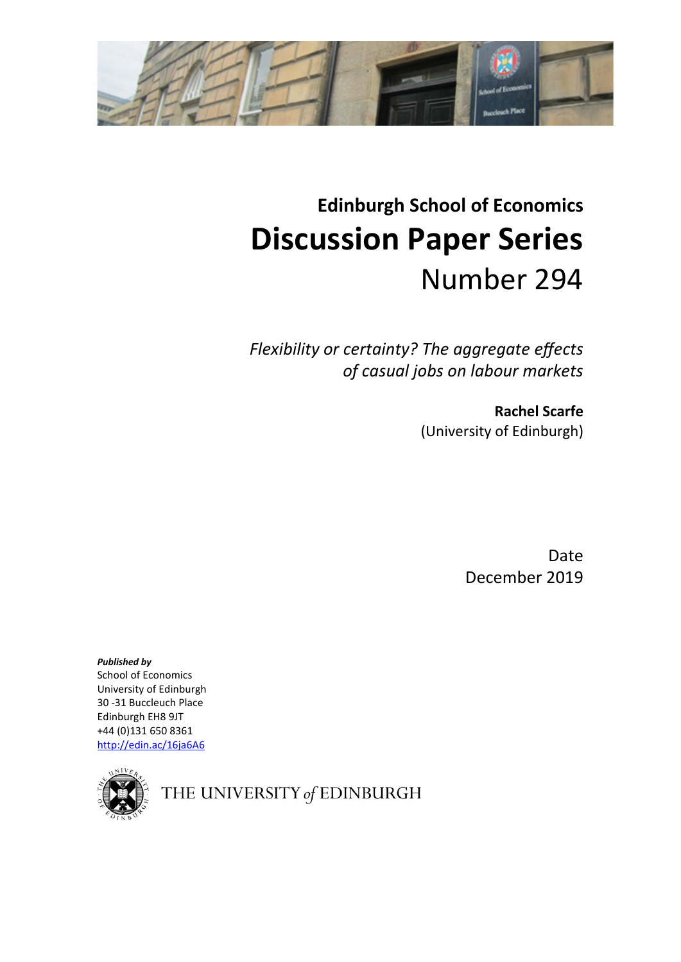

# **Edinburgh School of Economics Discussion Paper Series** Number 294

*Flexibility or certainty? The aggregate effects of casual jobs on labour markets*

> **Rachel Scarfe** (University of Edinburgh)

> > Date December 2019

*Published by* School of Economics University of Edinburgh 30 -31 Buccleuch Place Edinburgh EH8 9JT +44 (0)131 650 8361 <http://edin.ac/16ja6A6>



THE UNIVERSITY of EDINBURGH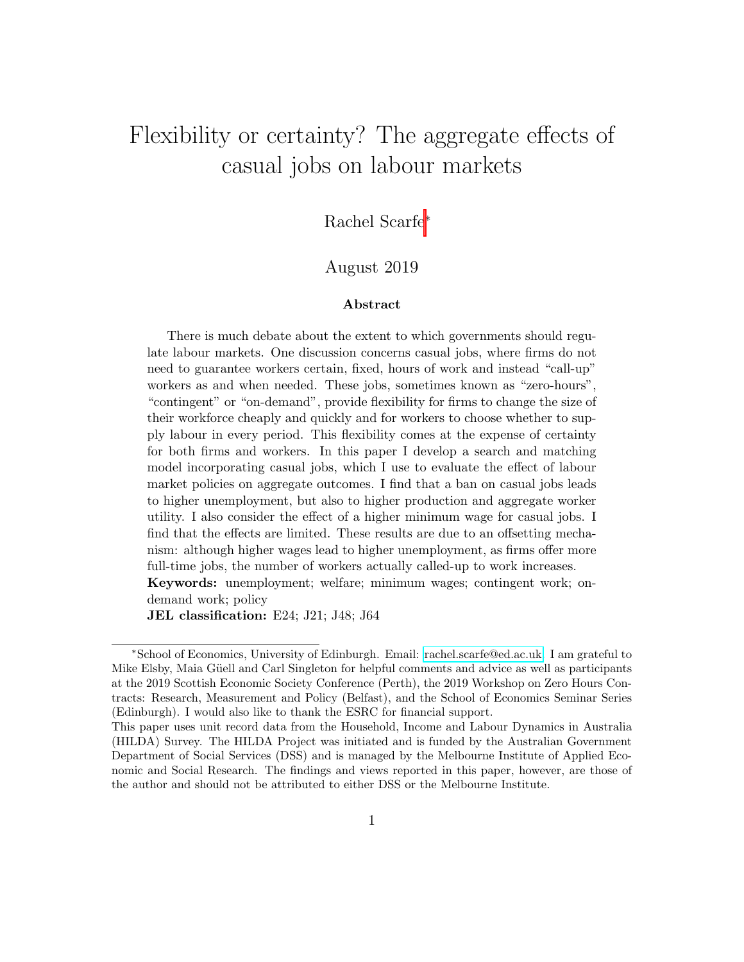# Flexibility or certainty? The aggregate effects of casual jobs on labour markets

Rachel Scarfe<sup>∗</sup>

### August 2019

#### Abstract

There is much debate about the extent to which governments should regulate labour markets. One discussion concerns casual jobs, where firms do not need to guarantee workers certain, fixed, hours of work and instead "call-up" workers as and when needed. These jobs, sometimes known as "zero-hours", "contingent" or "on-demand", provide flexibility for firms to change the size of their workforce cheaply and quickly and for workers to choose whether to supply labour in every period. This flexibility comes at the expense of certainty for both firms and workers. In this paper I develop a search and matching model incorporating casual jobs, which I use to evaluate the effect of labour market policies on aggregate outcomes. I find that a ban on casual jobs leads to higher unemployment, but also to higher production and aggregate worker utility. I also consider the effect of a higher minimum wage for casual jobs. I find that the effects are limited. These results are due to an offsetting mechanism: although higher wages lead to higher unemployment, as firms offer more full-time jobs, the number of workers actually called-up to work increases. Keywords: unemployment; welfare; minimum wages; contingent work; ondemand work; policy

JEL classification: E24; J21; J48; J64

<sup>∗</sup>School of Economics, University of Edinburgh. Email: [rachel.scarfe@ed.ac.uk.](mailto:rachel.scarfe@ed.ac.uk) I am grateful to Mike Elsby, Maia Güell and Carl Singleton for helpful comments and advice as well as participants at the 2019 Scottish Economic Society Conference (Perth), the 2019 Workshop on Zero Hours Contracts: Research, Measurement and Policy (Belfast), and the School of Economics Seminar Series (Edinburgh). I would also like to thank the ESRC for financial support.

This paper uses unit record data from the Household, Income and Labour Dynamics in Australia (HILDA) Survey. The HILDA Project was initiated and is funded by the Australian Government Department of Social Services (DSS) and is managed by the Melbourne Institute of Applied Economic and Social Research. The findings and views reported in this paper, however, are those of the author and should not be attributed to either DSS or the Melbourne Institute.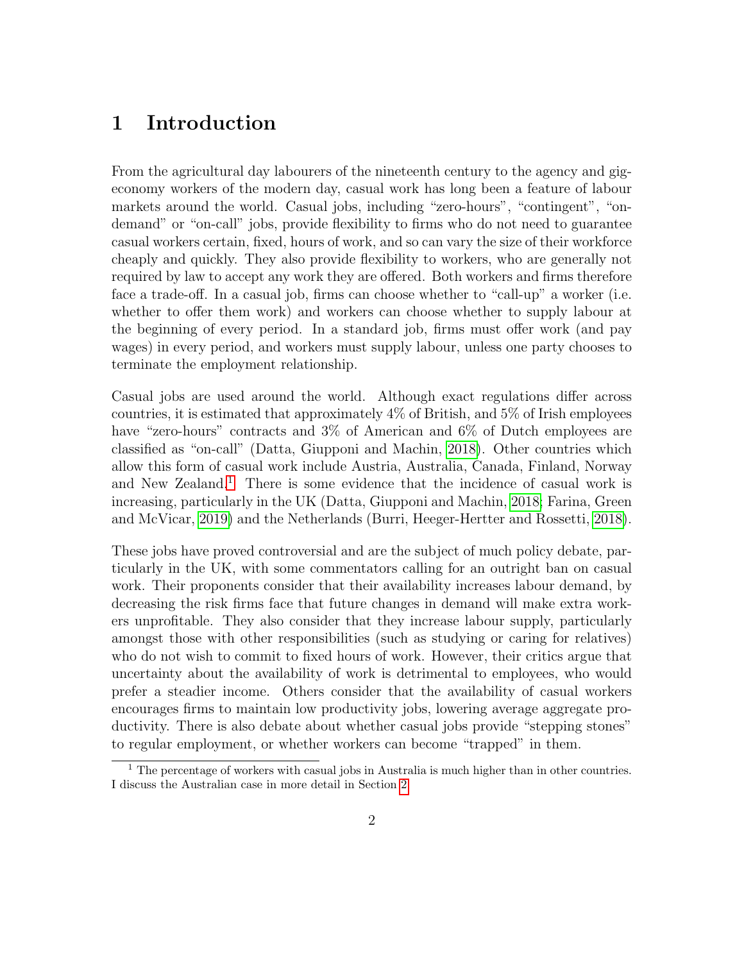# 1 Introduction

From the agricultural day labourers of the nineteenth century to the agency and gigeconomy workers of the modern day, casual work has long been a feature of labour markets around the world. Casual jobs, including "zero-hours", "contingent", "ondemand" or "on-call" jobs, provide flexibility to firms who do not need to guarantee casual workers certain, fixed, hours of work, and so can vary the size of their workforce cheaply and quickly. They also provide flexibility to workers, who are generally not required by law to accept any work they are offered. Both workers and firms therefore face a trade-off. In a casual job, firms can choose whether to "call-up" a worker (i.e. whether to offer them work) and workers can choose whether to supply labour at the beginning of every period. In a standard job, firms must offer work (and pay wages) in every period, and workers must supply labour, unless one party chooses to terminate the employment relationship.

Casual jobs are used around the world. Although exact regulations differ across countries, it is estimated that approximately 4% of British, and 5% of Irish employees have "zero-hours" contracts and 3% of American and 6% of Dutch employees are classified as "on-call" (Datta, Giupponi and Machin, [2018\)](#page-41-0). Other countries which allow this form of casual work include Austria, Australia, Canada, Finland, Norway and New Zealand.<sup>[1](#page-3-0)</sup> There is some evidence that the incidence of casual work is increasing, particularly in the UK (Datta, Giupponi and Machin, [2018;](#page-41-0) Farina, Green and McVicar, [2019\)](#page-41-1) and the Netherlands (Burri, Heeger-Hertter and Rossetti, [2018\)](#page-40-0).

These jobs have proved controversial and are the subject of much policy debate, particularly in the UK, with some commentators calling for an outright ban on casual work. Their proponents consider that their availability increases labour demand, by decreasing the risk firms face that future changes in demand will make extra workers unprofitable. They also consider that they increase labour supply, particularly amongst those with other responsibilities (such as studying or caring for relatives) who do not wish to commit to fixed hours of work. However, their critics argue that uncertainty about the availability of work is detrimental to employees, who would prefer a steadier income. Others consider that the availability of casual workers encourages firms to maintain low productivity jobs, lowering average aggregate productivity. There is also debate about whether casual jobs provide "stepping stones" to regular employment, or whether workers can become "trapped" in them.

<span id="page-3-0"></span> $\overline{1}$  The percentage of workers with casual jobs in Australia is much higher than in other countries. I discuss the Australian case in more detail in Section [2.](#page-7-0)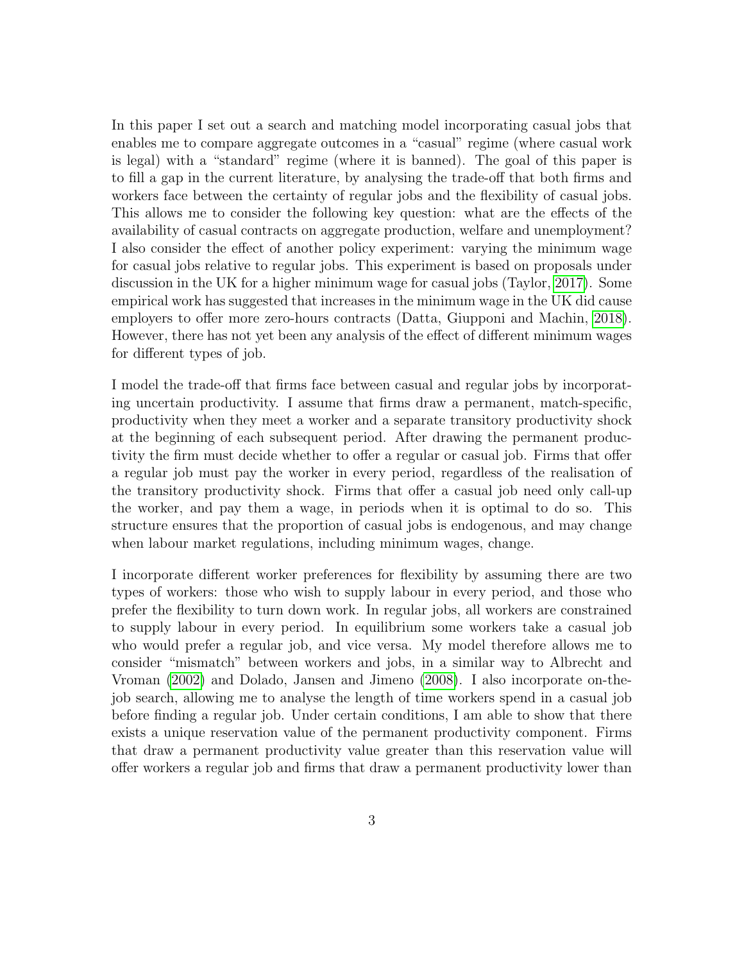In this paper I set out a search and matching model incorporating casual jobs that enables me to compare aggregate outcomes in a "casual" regime (where casual work is legal) with a "standard" regime (where it is banned). The goal of this paper is to fill a gap in the current literature, by analysing the trade-off that both firms and workers face between the certainty of regular jobs and the flexibility of casual jobs. This allows me to consider the following key question: what are the effects of the availability of casual contracts on aggregate production, welfare and unemployment? I also consider the effect of another policy experiment: varying the minimum wage for casual jobs relative to regular jobs. This experiment is based on proposals under discussion in the UK for a higher minimum wage for casual jobs (Taylor, [2017\)](#page-42-0). Some empirical work has suggested that increases in the minimum wage in the UK did cause employers to offer more zero-hours contracts (Datta, Giupponi and Machin, [2018\)](#page-41-0). However, there has not yet been any analysis of the effect of different minimum wages for different types of job.

I model the trade-off that firms face between casual and regular jobs by incorporating uncertain productivity. I assume that firms draw a permanent, match-specific, productivity when they meet a worker and a separate transitory productivity shock at the beginning of each subsequent period. After drawing the permanent productivity the firm must decide whether to offer a regular or casual job. Firms that offer a regular job must pay the worker in every period, regardless of the realisation of the transitory productivity shock. Firms that offer a casual job need only call-up the worker, and pay them a wage, in periods when it is optimal to do so. This structure ensures that the proportion of casual jobs is endogenous, and may change when labour market regulations, including minimum wages, change.

I incorporate different worker preferences for flexibility by assuming there are two types of workers: those who wish to supply labour in every period, and those who prefer the flexibility to turn down work. In regular jobs, all workers are constrained to supply labour in every period. In equilibrium some workers take a casual job who would prefer a regular job, and vice versa. My model therefore allows me to consider "mismatch" between workers and jobs, in a similar way to Albrecht and Vroman [\(2002\)](#page-40-1) and Dolado, Jansen and Jimeno [\(2008\)](#page-41-2). I also incorporate on-thejob search, allowing me to analyse the length of time workers spend in a casual job before finding a regular job. Under certain conditions, I am able to show that there exists a unique reservation value of the permanent productivity component. Firms that draw a permanent productivity value greater than this reservation value will offer workers a regular job and firms that draw a permanent productivity lower than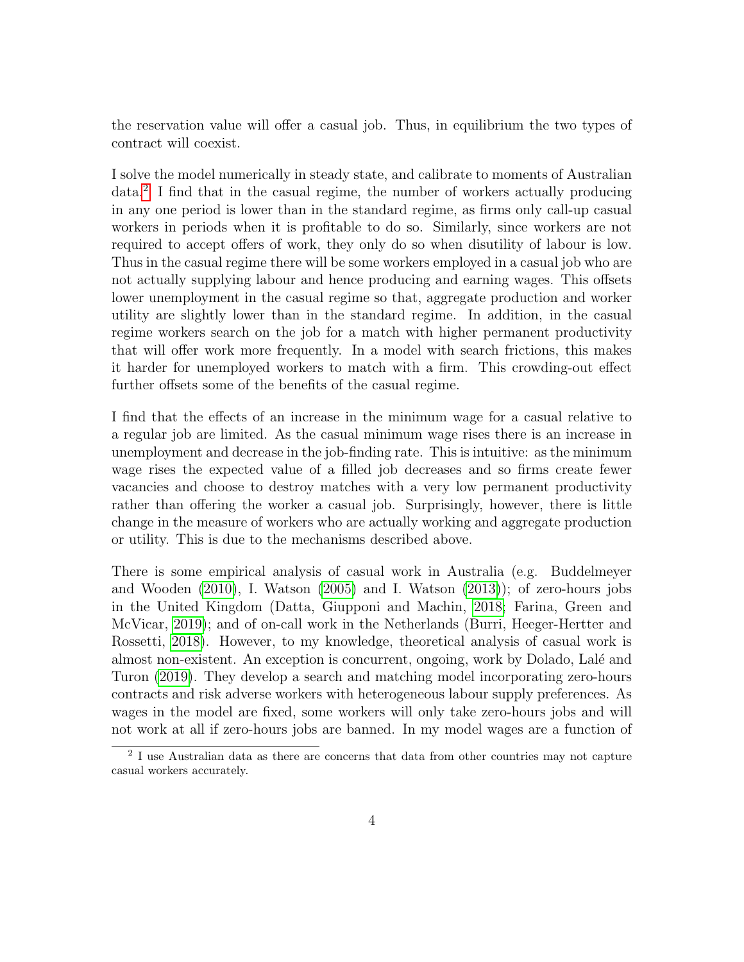the reservation value will offer a casual job. Thus, in equilibrium the two types of contract will coexist.

I solve the model numerically in steady state, and calibrate to moments of Australian data.[2](#page-5-0) I find that in the casual regime, the number of workers actually producing in any one period is lower than in the standard regime, as firms only call-up casual workers in periods when it is profitable to do so. Similarly, since workers are not required to accept offers of work, they only do so when disutility of labour is low. Thus in the casual regime there will be some workers employed in a casual job who are not actually supplying labour and hence producing and earning wages. This offsets lower unemployment in the casual regime so that, aggregate production and worker utility are slightly lower than in the standard regime. In addition, in the casual regime workers search on the job for a match with higher permanent productivity that will offer work more frequently. In a model with search frictions, this makes it harder for unemployed workers to match with a firm. This crowding-out effect further offsets some of the benefits of the casual regime.

I find that the effects of an increase in the minimum wage for a casual relative to a regular job are limited. As the casual minimum wage rises there is an increase in unemployment and decrease in the job-finding rate. This is intuitive: as the minimum wage rises the expected value of a filled job decreases and so firms create fewer vacancies and choose to destroy matches with a very low permanent productivity rather than offering the worker a casual job. Surprisingly, however, there is little change in the measure of workers who are actually working and aggregate production or utility. This is due to the mechanisms described above.

There is some empirical analysis of casual work in Australia (e.g. Buddelmeyer and Wooden [\(2010\)](#page-40-2), I. Watson [\(2005\)](#page-42-1) and I. Watson [\(2013\)](#page-42-2)); of zero-hours jobs in the United Kingdom (Datta, Giupponi and Machin, [2018;](#page-41-0) Farina, Green and McVicar, [2019\)](#page-41-1); and of on-call work in the Netherlands (Burri, Heeger-Hertter and Rossetti, [2018\)](#page-40-0). However, to my knowledge, theoretical analysis of casual work is almost non-existent. An exception is concurrent, ongoing, work by Dolado, Lal´e and Turon [\(2019\)](#page-41-3). They develop a search and matching model incorporating zero-hours contracts and risk adverse workers with heterogeneous labour supply preferences. As wages in the model are fixed, some workers will only take zero-hours jobs and will not work at all if zero-hours jobs are banned. In my model wages are a function of

<span id="page-5-0"></span><sup>&</sup>lt;sup>2</sup> I use Australian data as there are concerns that data from other countries may not capture casual workers accurately.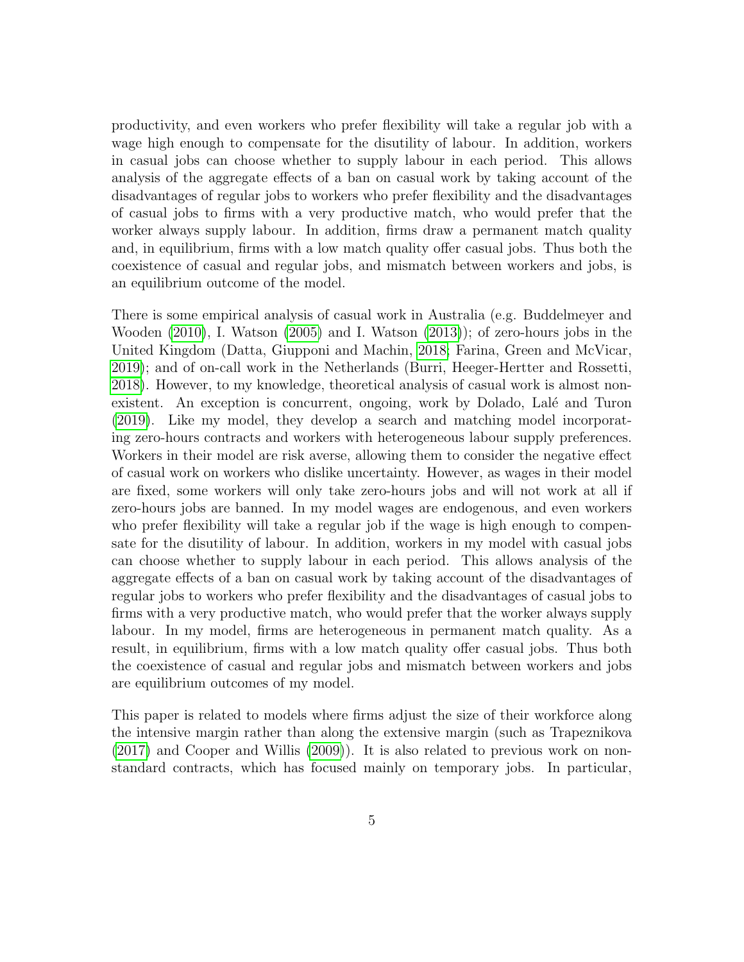productivity, and even workers who prefer flexibility will take a regular job with a wage high enough to compensate for the disutility of labour. In addition, workers in casual jobs can choose whether to supply labour in each period. This allows analysis of the aggregate effects of a ban on casual work by taking account of the disadvantages of regular jobs to workers who prefer flexibility and the disadvantages of casual jobs to firms with a very productive match, who would prefer that the worker always supply labour. In addition, firms draw a permanent match quality and, in equilibrium, firms with a low match quality offer casual jobs. Thus both the coexistence of casual and regular jobs, and mismatch between workers and jobs, is an equilibrium outcome of the model.

There is some empirical analysis of casual work in Australia (e.g. Buddelmeyer and Wooden [\(2010\)](#page-40-2), I. Watson [\(2005\)](#page-42-1) and I. Watson [\(2013\)](#page-42-2)); of zero-hours jobs in the United Kingdom (Datta, Giupponi and Machin, [2018;](#page-41-0) Farina, Green and McVicar, [2019\)](#page-41-1); and of on-call work in the Netherlands (Burri, Heeger-Hertter and Rossetti, [2018\)](#page-40-0). However, to my knowledge, theoretical analysis of casual work is almost nonexistent. An exception is concurrent, ongoing, work by Dolado, Lalé and Turon [\(2019\)](#page-41-3). Like my model, they develop a search and matching model incorporating zero-hours contracts and workers with heterogeneous labour supply preferences. Workers in their model are risk averse, allowing them to consider the negative effect of casual work on workers who dislike uncertainty. However, as wages in their model are fixed, some workers will only take zero-hours jobs and will not work at all if zero-hours jobs are banned. In my model wages are endogenous, and even workers who prefer flexibility will take a regular job if the wage is high enough to compensate for the disutility of labour. In addition, workers in my model with casual jobs can choose whether to supply labour in each period. This allows analysis of the aggregate effects of a ban on casual work by taking account of the disadvantages of regular jobs to workers who prefer flexibility and the disadvantages of casual jobs to firms with a very productive match, who would prefer that the worker always supply labour. In my model, firms are heterogeneous in permanent match quality. As a result, in equilibrium, firms with a low match quality offer casual jobs. Thus both the coexistence of casual and regular jobs and mismatch between workers and jobs are equilibrium outcomes of my model.

This paper is related to models where firms adjust the size of their workforce along the intensive margin rather than along the extensive margin (such as Trapeznikova [\(2017\)](#page-42-3) and Cooper and Willis [\(2009\)](#page-41-4)). It is also related to previous work on nonstandard contracts, which has focused mainly on temporary jobs. In particular,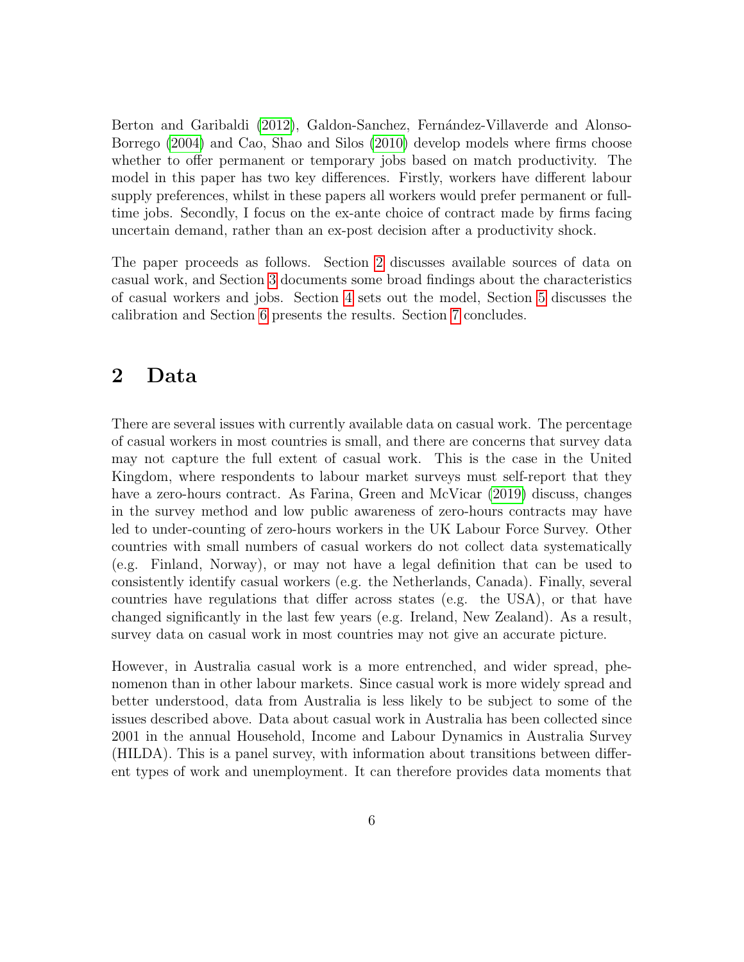Berton and Garibaldi [\(2012\)](#page-40-3), Galdon-Sanchez, Fernández-Villaverde and Alonso-Borrego [\(2004\)](#page-41-5) and Cao, Shao and Silos [\(2010\)](#page-41-6) develop models where firms choose whether to offer permanent or temporary jobs based on match productivity. The model in this paper has two key differences. Firstly, workers have different labour supply preferences, whilst in these papers all workers would prefer permanent or fulltime jobs. Secondly, I focus on the ex-ante choice of contract made by firms facing uncertain demand, rather than an ex-post decision after a productivity shock.

The paper proceeds as follows. Section [2](#page-7-0) discusses available sources of data on casual work, and Section [3](#page-10-0) documents some broad findings about the characteristics of casual workers and jobs. Section [4](#page-15-0) sets out the model, Section [5](#page-30-0) discusses the calibration and Section [6](#page-34-0) presents the results. Section [7](#page-39-0) concludes.

# <span id="page-7-0"></span>2 Data

There are several issues with currently available data on casual work. The percentage of casual workers in most countries is small, and there are concerns that survey data may not capture the full extent of casual work. This is the case in the United Kingdom, where respondents to labour market surveys must self-report that they have a zero-hours contract. As Farina, Green and McVicar [\(2019\)](#page-41-1) discuss, changes in the survey method and low public awareness of zero-hours contracts may have led to under-counting of zero-hours workers in the UK Labour Force Survey. Other countries with small numbers of casual workers do not collect data systematically (e.g. Finland, Norway), or may not have a legal definition that can be used to consistently identify casual workers (e.g. the Netherlands, Canada). Finally, several countries have regulations that differ across states (e.g. the USA), or that have changed significantly in the last few years (e.g. Ireland, New Zealand). As a result, survey data on casual work in most countries may not give an accurate picture.

However, in Australia casual work is a more entrenched, and wider spread, phenomenon than in other labour markets. Since casual work is more widely spread and better understood, data from Australia is less likely to be subject to some of the issues described above. Data about casual work in Australia has been collected since 2001 in the annual Household, Income and Labour Dynamics in Australia Survey (HILDA). This is a panel survey, with information about transitions between different types of work and unemployment. It can therefore provides data moments that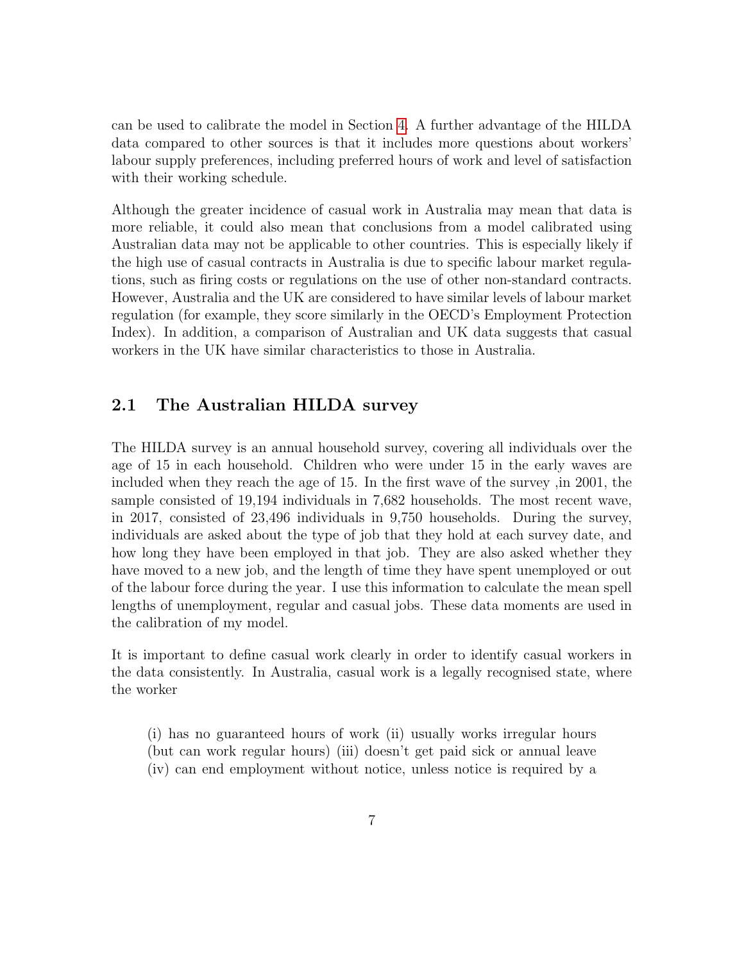can be used to calibrate the model in Section [4.](#page-15-0) A further advantage of the HILDA data compared to other sources is that it includes more questions about workers' labour supply preferences, including preferred hours of work and level of satisfaction with their working schedule.

Although the greater incidence of casual work in Australia may mean that data is more reliable, it could also mean that conclusions from a model calibrated using Australian data may not be applicable to other countries. This is especially likely if the high use of casual contracts in Australia is due to specific labour market regulations, such as firing costs or regulations on the use of other non-standard contracts. However, Australia and the UK are considered to have similar levels of labour market regulation (for example, they score similarly in the OECD's Employment Protection Index). In addition, a comparison of Australian and UK data suggests that casual workers in the UK have similar characteristics to those in Australia.

### 2.1 The Australian HILDA survey

The HILDA survey is an annual household survey, covering all individuals over the age of 15 in each household. Children who were under 15 in the early waves are included when they reach the age of 15. In the first wave of the survey ,in 2001, the sample consisted of 19,194 individuals in 7,682 households. The most recent wave, in 2017, consisted of 23,496 individuals in 9,750 households. During the survey, individuals are asked about the type of job that they hold at each survey date, and how long they have been employed in that job. They are also asked whether they have moved to a new job, and the length of time they have spent unemployed or out of the labour force during the year. I use this information to calculate the mean spell lengths of unemployment, regular and casual jobs. These data moments are used in the calibration of my model.

It is important to define casual work clearly in order to identify casual workers in the data consistently. In Australia, casual work is a legally recognised state, where the worker

(i) has no guaranteed hours of work (ii) usually works irregular hours (but can work regular hours) (iii) doesn't get paid sick or annual leave (iv) can end employment without notice, unless notice is required by a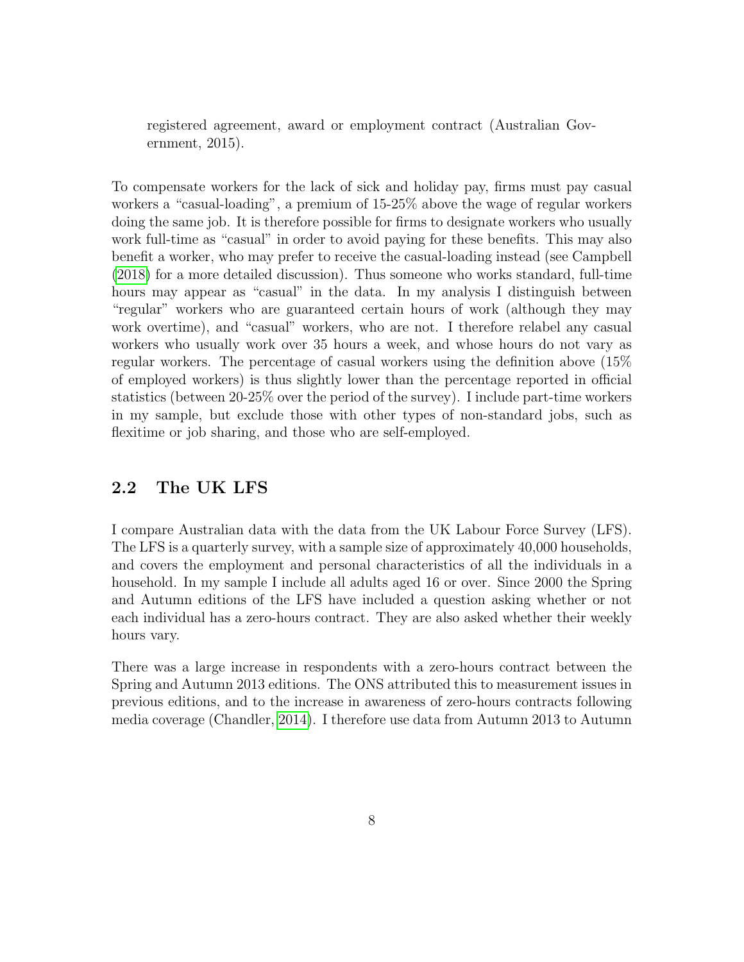registered agreement, award or employment contract (Australian Government, 2015).

To compensate workers for the lack of sick and holiday pay, firms must pay casual workers a "casual-loading", a premium of 15-25% above the wage of regular workers doing the same job. It is therefore possible for firms to designate workers who usually work full-time as "casual" in order to avoid paying for these benefits. This may also benefit a worker, who may prefer to receive the casual-loading instead (see Campbell [\(2018\)](#page-41-7) for a more detailed discussion). Thus someone who works standard, full-time hours may appear as "casual" in the data. In my analysis I distinguish between "regular" workers who are guaranteed certain hours of work (although they may work overtime), and "casual" workers, who are not. I therefore relabel any casual workers who usually work over 35 hours a week, and whose hours do not vary as regular workers. The percentage of casual workers using the definition above (15% of employed workers) is thus slightly lower than the percentage reported in official statistics (between 20-25% over the period of the survey). I include part-time workers in my sample, but exclude those with other types of non-standard jobs, such as flexitime or job sharing, and those who are self-employed.

## 2.2 The UK LFS

I compare Australian data with the data from the UK Labour Force Survey (LFS). The LFS is a quarterly survey, with a sample size of approximately 40,000 households, and covers the employment and personal characteristics of all the individuals in a household. In my sample I include all adults aged 16 or over. Since 2000 the Spring and Autumn editions of the LFS have included a question asking whether or not each individual has a zero-hours contract. They are also asked whether their weekly hours vary.

There was a large increase in respondents with a zero-hours contract between the Spring and Autumn 2013 editions. The ONS attributed this to measurement issues in previous editions, and to the increase in awareness of zero-hours contracts following media coverage (Chandler, [2014\)](#page-41-8). I therefore use data from Autumn 2013 to Autumn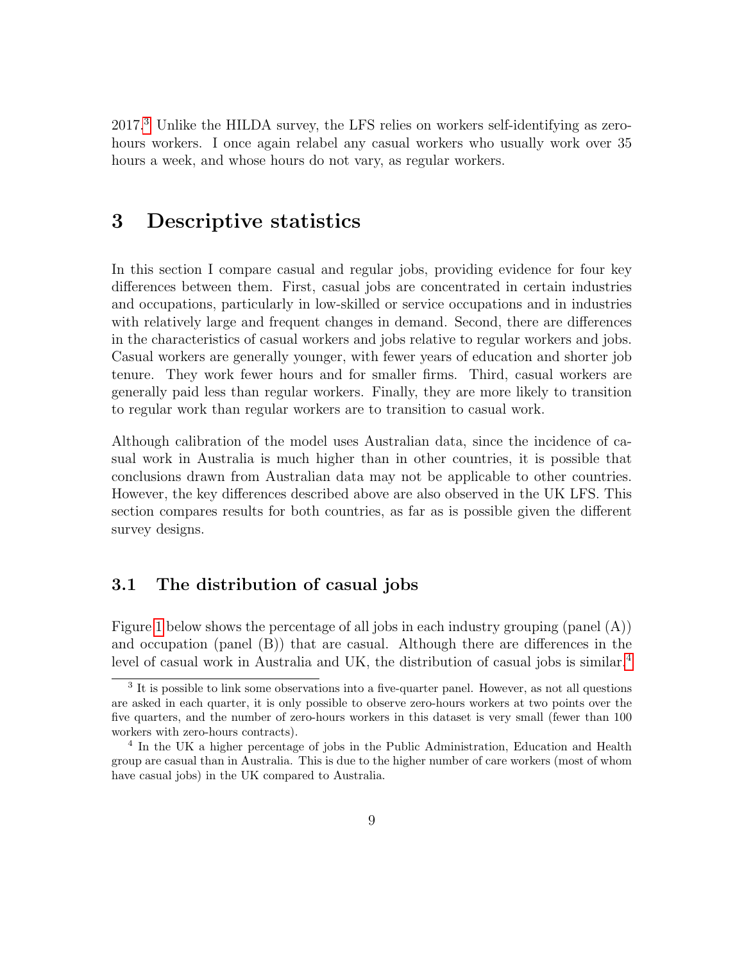2017.[3](#page-10-1) Unlike the HILDA survey, the LFS relies on workers self-identifying as zerohours workers. I once again relabel any casual workers who usually work over 35 hours a week, and whose hours do not vary, as regular workers.

# <span id="page-10-0"></span>3 Descriptive statistics

In this section I compare casual and regular jobs, providing evidence for four key differences between them. First, casual jobs are concentrated in certain industries and occupations, particularly in low-skilled or service occupations and in industries with relatively large and frequent changes in demand. Second, there are differences in the characteristics of casual workers and jobs relative to regular workers and jobs. Casual workers are generally younger, with fewer years of education and shorter job tenure. They work fewer hours and for smaller firms. Third, casual workers are generally paid less than regular workers. Finally, they are more likely to transition to regular work than regular workers are to transition to casual work.

Although calibration of the model uses Australian data, since the incidence of casual work in Australia is much higher than in other countries, it is possible that conclusions drawn from Australian data may not be applicable to other countries. However, the key differences described above are also observed in the UK LFS. This section compares results for both countries, as far as is possible given the different survey designs.

### 3.1 The distribution of casual jobs

Figure [1](#page-11-0) below shows the percentage of all jobs in each industry grouping (panel (A)) and occupation (panel (B)) that are casual. Although there are differences in the level of casual work in Australia and UK, the distribution of casual jobs is similar.<sup>[4](#page-10-2)</sup>

<span id="page-10-1"></span><sup>&</sup>lt;sup>3</sup> It is possible to link some observations into a five-quarter panel. However, as not all questions are asked in each quarter, it is only possible to observe zero-hours workers at two points over the five quarters, and the number of zero-hours workers in this dataset is very small (fewer than 100 workers with zero-hours contracts).

<span id="page-10-2"></span><sup>&</sup>lt;sup>4</sup> In the UK a higher percentage of jobs in the Public Administration, Education and Health group are casual than in Australia. This is due to the higher number of care workers (most of whom have casual jobs) in the UK compared to Australia.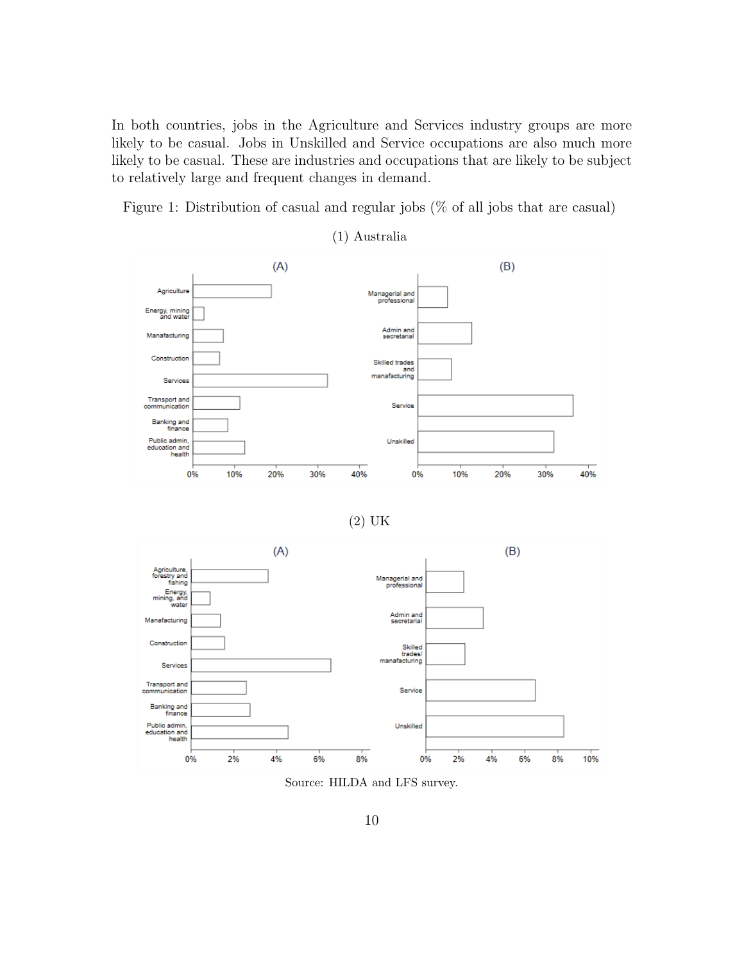In both countries, jobs in the Agriculture and Services industry groups are more likely to be casual. Jobs in Unskilled and Service occupations are also much more likely to be casual. These are industries and occupations that are likely to be subject to relatively large and frequent changes in demand.

<span id="page-11-0"></span>Figure 1: Distribution of casual and regular jobs (% of all jobs that are casual)



(1) Australia





Source: HILDA and LFS survey.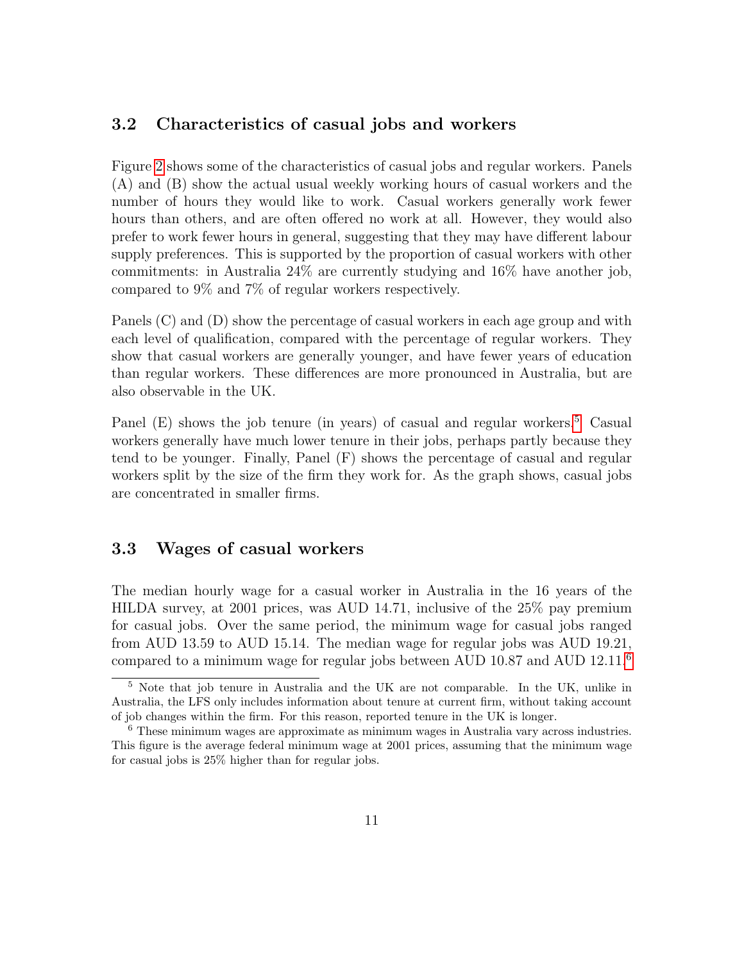### 3.2 Characteristics of casual jobs and workers

Figure [2](#page-13-0) shows some of the characteristics of casual jobs and regular workers. Panels (A) and (B) show the actual usual weekly working hours of casual workers and the number of hours they would like to work. Casual workers generally work fewer hours than others, and are often offered no work at all. However, they would also prefer to work fewer hours in general, suggesting that they may have different labour supply preferences. This is supported by the proportion of casual workers with other commitments: in Australia 24% are currently studying and 16% have another job, compared to 9% and 7% of regular workers respectively.

Panels (C) and (D) show the percentage of casual workers in each age group and with each level of qualification, compared with the percentage of regular workers. They show that casual workers are generally younger, and have fewer years of education than regular workers. These differences are more pronounced in Australia, but are also observable in the UK.

Panel  $(E)$  shows the job tenure (in years) of casual and regular workers.<sup>[5](#page-12-0)</sup> Casual workers generally have much lower tenure in their jobs, perhaps partly because they tend to be younger. Finally, Panel (F) shows the percentage of casual and regular workers split by the size of the firm they work for. As the graph shows, casual jobs are concentrated in smaller firms.

### 3.3 Wages of casual workers

The median hourly wage for a casual worker in Australia in the 16 years of the HILDA survey, at 2001 prices, was AUD 14.71, inclusive of the 25% pay premium for casual jobs. Over the same period, the minimum wage for casual jobs ranged from AUD 13.59 to AUD 15.14. The median wage for regular jobs was AUD 19.21, compared to a minimum wage for regular jobs between AUD 10.87 and AUD 12.11.[6](#page-12-1)

<span id="page-12-0"></span><sup>5</sup> Note that job tenure in Australia and the UK are not comparable. In the UK, unlike in Australia, the LFS only includes information about tenure at current firm, without taking account of job changes within the firm. For this reason, reported tenure in the UK is longer.

<span id="page-12-1"></span><sup>6</sup> These minimum wages are approximate as minimum wages in Australia vary across industries. This figure is the average federal minimum wage at 2001 prices, assuming that the minimum wage for casual jobs is 25% higher than for regular jobs.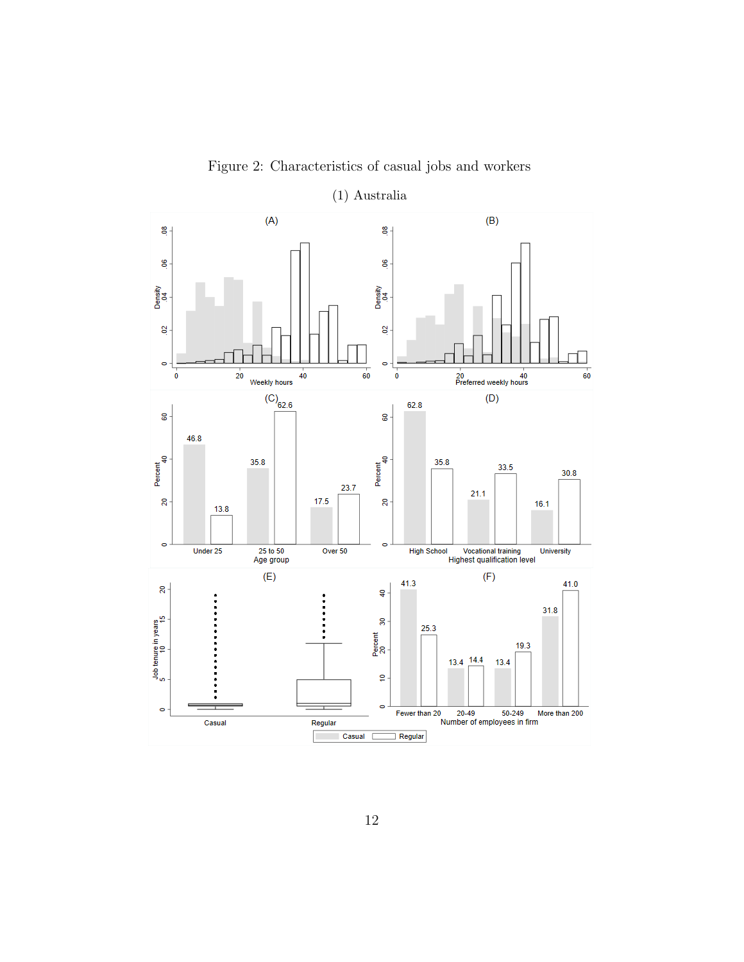<span id="page-13-0"></span>

Figure 2: Characteristics of casual jobs and workers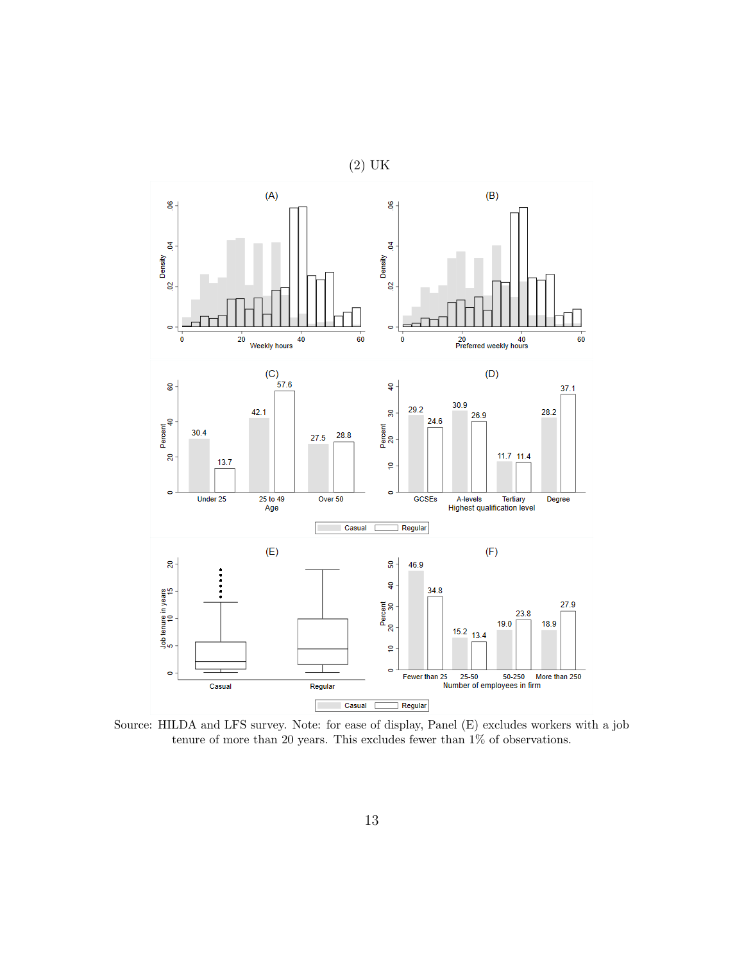

Source: HILDA and LFS survey. Note: for ease of display, Panel (E) excludes workers with a job tenure of more than 20 years. This excludes fewer than 1% of observations.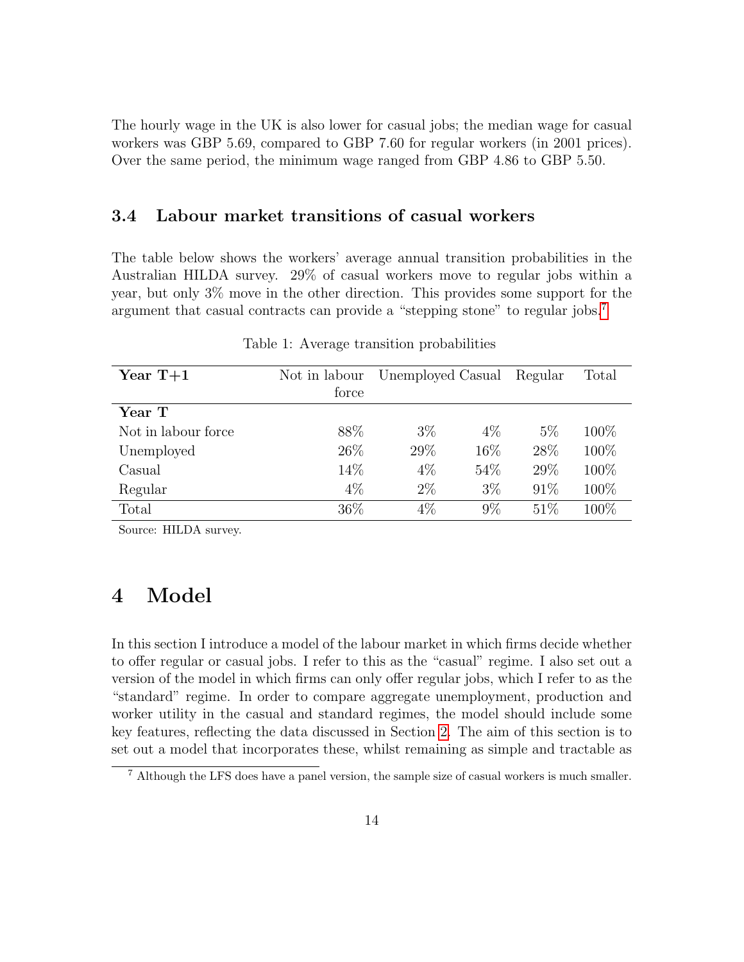The hourly wage in the UK is also lower for casual jobs; the median wage for casual workers was GBP 5.69, compared to GBP 7.60 for regular workers (in 2001 prices). Over the same period, the minimum wage ranged from GBP 4.86 to GBP 5.50.

### 3.4 Labour market transitions of casual workers

The table below shows the workers' average annual transition probabilities in the Australian HILDA survey. 29% of casual workers move to regular jobs within a year, but only 3% move in the other direction. This provides some support for the argument that casual contracts can provide a "stepping stone" to regular jobs.[7](#page-15-1)

| Year $T+1$          | Not in labour<br>force | Unemployed Casual |        | Regular | Total |
|---------------------|------------------------|-------------------|--------|---------|-------|
| Year T              |                        |                   |        |         |       |
| Not in labour force | 88\%                   | $3\%$             | $4\%$  | $5\%$   | 100\% |
| Unemployed          | 26\%                   | 29\%              | $16\%$ | 28\%    | 100%  |
| Casual              | 14%                    | $4\%$             | 54%    | 29%     | 100%  |
| Regular             | $4\%$                  | $2\%$             | $3\%$  | 91\%    | 100%  |
| Total               | 36\%                   | 4%                | $9\%$  | 51%     | 100\% |

Table 1: Average transition probabilities

Source: HILDA survey.

# <span id="page-15-0"></span>4 Model

In this section I introduce a model of the labour market in which firms decide whether to offer regular or casual jobs. I refer to this as the "casual" regime. I also set out a version of the model in which firms can only offer regular jobs, which I refer to as the "standard" regime. In order to compare aggregate unemployment, production and worker utility in the casual and standard regimes, the model should include some key features, reflecting the data discussed in Section [2.](#page-7-0) The aim of this section is to set out a model that incorporates these, whilst remaining as simple and tractable as

<span id="page-15-1"></span><sup>7</sup> Although the LFS does have a panel version, the sample size of casual workers is much smaller.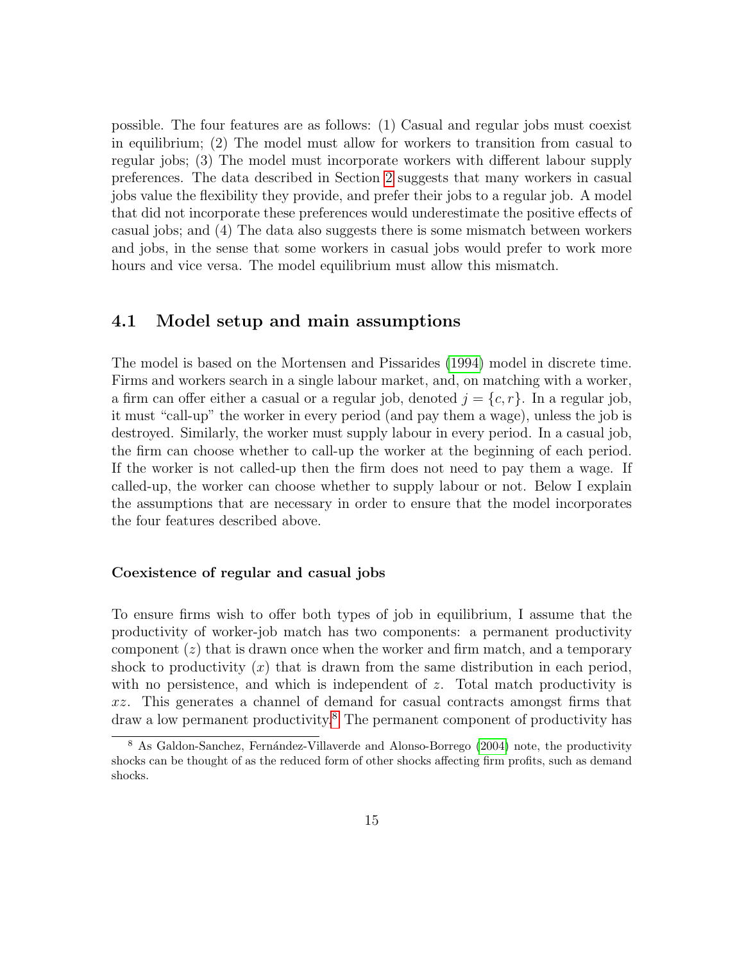possible. The four features are as follows: (1) Casual and regular jobs must coexist in equilibrium; (2) The model must allow for workers to transition from casual to regular jobs; (3) The model must incorporate workers with different labour supply preferences. The data described in Section [2](#page-7-0) suggests that many workers in casual jobs value the flexibility they provide, and prefer their jobs to a regular job. A model that did not incorporate these preferences would underestimate the positive effects of casual jobs; and (4) The data also suggests there is some mismatch between workers and jobs, in the sense that some workers in casual jobs would prefer to work more hours and vice versa. The model equilibrium must allow this mismatch.

### 4.1 Model setup and main assumptions

The model is based on the Mortensen and Pissarides [\(1994\)](#page-41-9) model in discrete time. Firms and workers search in a single labour market, and, on matching with a worker, a firm can offer either a casual or a regular job, denoted  $j = \{c, r\}$ . In a regular job, it must "call-up" the worker in every period (and pay them a wage), unless the job is destroyed. Similarly, the worker must supply labour in every period. In a casual job, the firm can choose whether to call-up the worker at the beginning of each period. If the worker is not called-up then the firm does not need to pay them a wage. If called-up, the worker can choose whether to supply labour or not. Below I explain the assumptions that are necessary in order to ensure that the model incorporates the four features described above.

#### Coexistence of regular and casual jobs

To ensure firms wish to offer both types of job in equilibrium, I assume that the productivity of worker-job match has two components: a permanent productivity component  $(z)$  that is drawn once when the worker and firm match, and a temporary shock to productivity  $(x)$  that is drawn from the same distribution in each period, with no persistence, and which is independent of  $z$ . Total match productivity is xz. This generates a channel of demand for casual contracts amongst firms that draw a low permanent productivity.[8](#page-16-0) The permanent component of productivity has

<span id="page-16-0"></span><sup>&</sup>lt;sup>8</sup> As Galdon-Sanchez, Fernández-Villaverde and Alonso-Borrego [\(2004\)](#page-41-5) note, the productivity shocks can be thought of as the reduced form of other shocks affecting firm profits, such as demand shocks.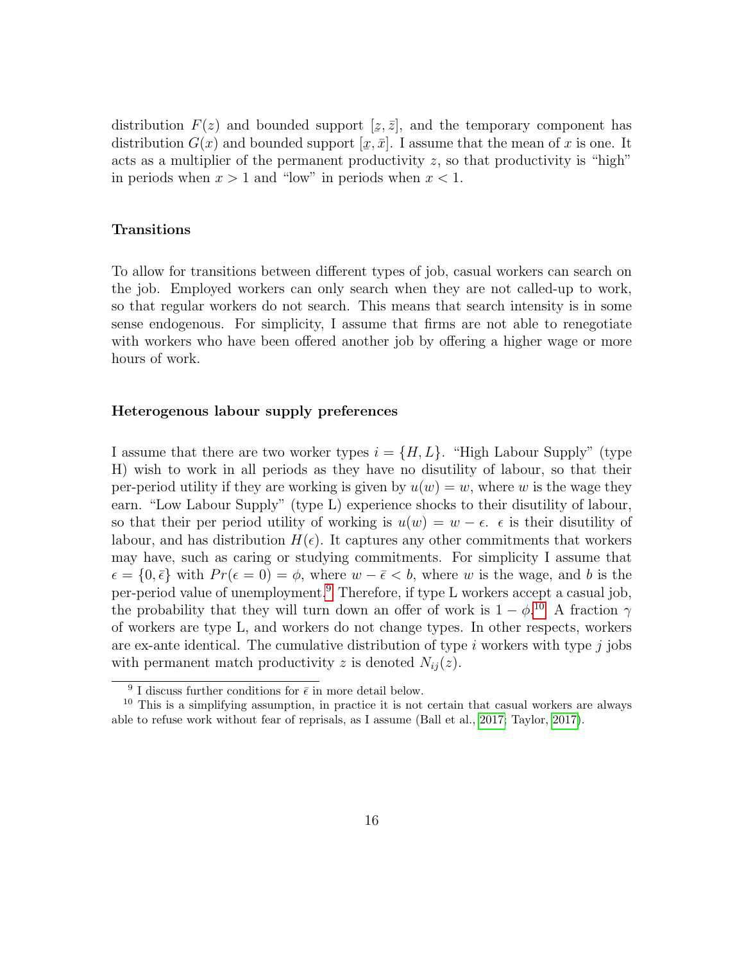distribution  $F(z)$  and bounded support  $[z, \bar{z}]$ , and the temporary component has distribution  $G(x)$  and bounded support  $[\underline{x}, \overline{x}]$ . I assume that the mean of x is one. It acts as a multiplier of the permanent productivity z, so that productivity is "high" in periods when  $x > 1$  and "low" in periods when  $x < 1$ .

#### Transitions

To allow for transitions between different types of job, casual workers can search on the job. Employed workers can only search when they are not called-up to work, so that regular workers do not search. This means that search intensity is in some sense endogenous. For simplicity, I assume that firms are not able to renegotiate with workers who have been offered another job by offering a higher wage or more hours of work.

#### Heterogenous labour supply preferences

I assume that there are two worker types  $i = \{H, L\}$ . "High Labour Supply" (type H) wish to work in all periods as they have no disutility of labour, so that their per-period utility if they are working is given by  $u(w) = w$ , where w is the wage they earn. "Low Labour Supply" (type L) experience shocks to their disutility of labour, so that their per period utility of working is  $u(w) = w - \epsilon$ .  $\epsilon$  is their disutility of labour, and has distribution  $H(\epsilon)$ . It captures any other commitments that workers may have, such as caring or studying commitments. For simplicity I assume that  $\epsilon = \{0, \bar{\epsilon}\}\$  with  $Pr(\epsilon = 0) = \phi$ , where  $w - \bar{\epsilon} < b$ , where w is the wage, and b is the per-period value of unemployment.[9](#page-17-0) Therefore, if type L workers accept a casual job, the probability that they will turn down an offer of work is  $1 - \phi$ <sup>[10](#page-17-1)</sup>. A fraction  $\gamma$ of workers are type L, and workers do not change types. In other respects, workers are ex-ante identical. The cumulative distribution of type  $i$  workers with type  $j$  jobs with permanent match productivity z is denoted  $N_{ij}(z)$ .

<span id="page-17-1"></span><span id="page-17-0"></span><sup>&</sup>lt;sup>9</sup> I discuss further conditions for  $\bar{\epsilon}$  in more detail below.

<sup>&</sup>lt;sup>10</sup> This is a simplifying assumption, in practice it is not certain that casual workers are always able to refuse work without fear of reprisals, as I assume (Ball et al., [2017;](#page-40-4) Taylor, [2017\)](#page-42-0).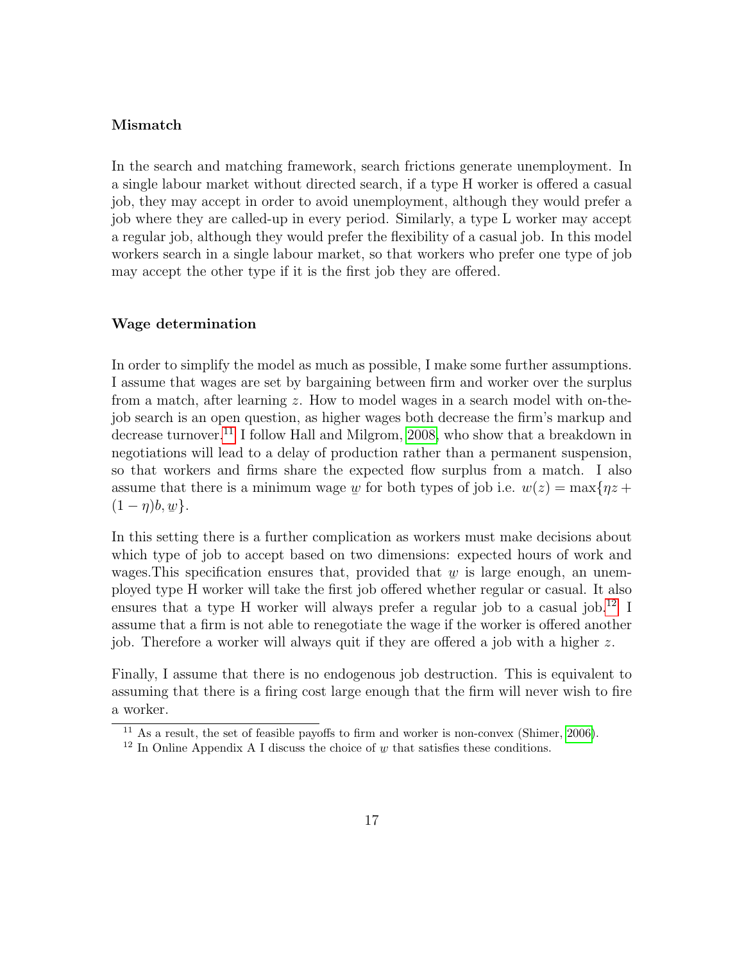#### Mismatch

In the search and matching framework, search frictions generate unemployment. In a single labour market without directed search, if a type H worker is offered a casual job, they may accept in order to avoid unemployment, although they would prefer a job where they are called-up in every period. Similarly, a type L worker may accept a regular job, although they would prefer the flexibility of a casual job. In this model workers search in a single labour market, so that workers who prefer one type of job may accept the other type if it is the first job they are offered.

#### Wage determination

In order to simplify the model as much as possible, I make some further assumptions. I assume that wages are set by bargaining between firm and worker over the surplus from a match, after learning z. How to model wages in a search model with on-thejob search is an open question, as higher wages both decrease the firm's markup and decrease turnover.<sup>[11](#page-18-0)</sup> I follow Hall and Milgrom, [2008,](#page-41-10) who show that a breakdown in negotiations will lead to a delay of production rather than a permanent suspension, so that workers and firms share the expected flow surplus from a match. I also assume that there is a minimum wage ے<br>ا w for both types of job i.e.  $w(z) = \max\{nz + \}$  $(1 - \eta)b$ , ¯  $w$ }.

In this setting there is a further complication as workers must make decisions about which type of job to accept based on two dimensions: expected hours of work and wages. This specification ensures that, provided that  $\psi$  is large enough, an unemmages. This specification ensures that, provided that  $\frac{w}{x}$  is harge enough, an unom-<br>ployed type H worker will take the first job offered whether regular or casual. It also ensures that a type H worker will always prefer a regular job to a casual job.<sup>[12](#page-18-1)</sup> I assume that a firm is not able to renegotiate the wage if the worker is offered another job. Therefore a worker will always quit if they are offered a job with a higher z.

Finally, I assume that there is no endogenous job destruction. This is equivalent to assuming that there is a firing cost large enough that the firm will never wish to fire a worker.

<span id="page-18-0"></span><sup>&</sup>lt;sup>11</sup> As a result, the set of feasible payoffs to firm and worker is non-convex (Shimer, [2006\)](#page-42-4).

<span id="page-18-1"></span><sup>&</sup>lt;sup>12</sup> In Online Appendix A I discuss the choice of  $\psi$  that satisfies these conditions.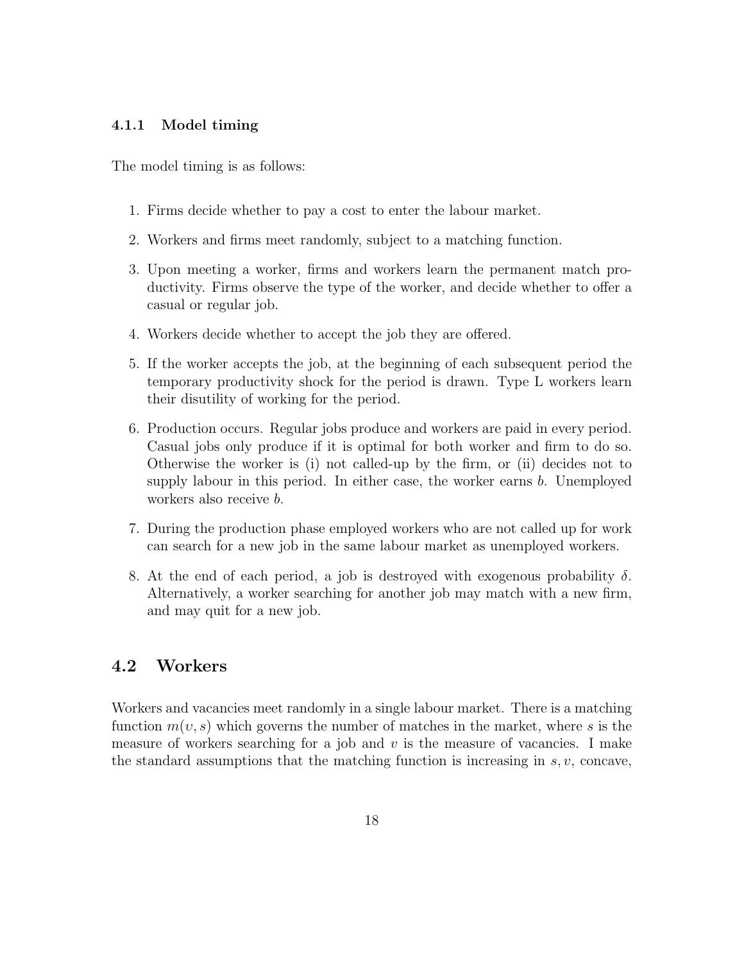#### 4.1.1 Model timing

The model timing is as follows:

- 1. Firms decide whether to pay a cost to enter the labour market.
- 2. Workers and firms meet randomly, subject to a matching function.
- 3. Upon meeting a worker, firms and workers learn the permanent match productivity. Firms observe the type of the worker, and decide whether to offer a casual or regular job.
- 4. Workers decide whether to accept the job they are offered.
- 5. If the worker accepts the job, at the beginning of each subsequent period the temporary productivity shock for the period is drawn. Type L workers learn their disutility of working for the period.
- 6. Production occurs. Regular jobs produce and workers are paid in every period. Casual jobs only produce if it is optimal for both worker and firm to do so. Otherwise the worker is (i) not called-up by the firm, or (ii) decides not to supply labour in this period. In either case, the worker earns  $b$ . Unemployed workers also receive b.
- 7. During the production phase employed workers who are not called up for work can search for a new job in the same labour market as unemployed workers.
- 8. At the end of each period, a job is destroyed with exogenous probability  $\delta$ . Alternatively, a worker searching for another job may match with a new firm, and may quit for a new job.

### 4.2 Workers

Workers and vacancies meet randomly in a single labour market. There is a matching function  $m(v, s)$  which governs the number of matches in the market, where s is the measure of workers searching for a job and  $v$  is the measure of vacancies. I make the standard assumptions that the matching function is increasing in  $s, v$ , concave,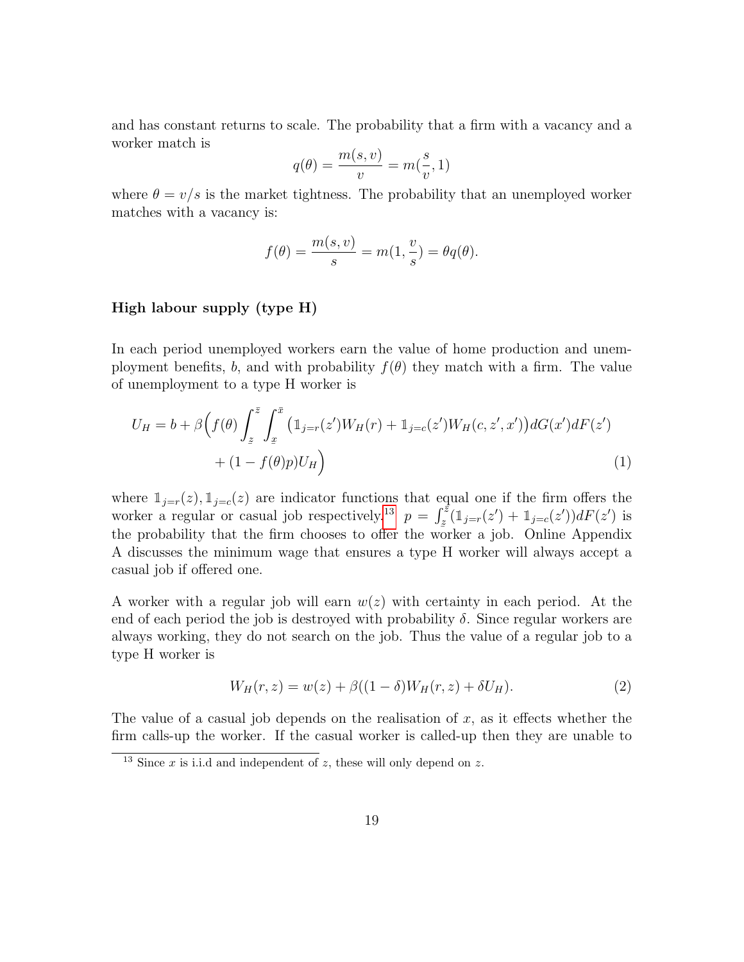and has constant returns to scale. The probability that a firm with a vacancy and a worker match is

$$
q(\theta) = \frac{m(s, v)}{v} = m(\frac{s}{v}, 1)
$$

where  $\theta = v/s$  is the market tightness. The probability that an unemployed worker matches with a vacancy is:

$$
f(\theta) = \frac{m(s, v)}{s} = m(1, \frac{v}{s}) = \theta q(\theta).
$$

#### High labour supply (type H)

In each period unemployed workers earn the value of home production and unemployment benefits, b, and with probability  $f(\theta)$  they match with a firm. The value of unemployment to a type H worker is

$$
U_H = b + \beta \Big( f(\theta) \int_z^{\bar{z}} \int_x^{\bar{x}} \left( \mathbb{1}_{j=r}(z') W_H(r) + \mathbb{1}_{j=c}(z') W_H(c, z', x') \right) dG(x') dF(z') + (1 - f(\theta)p) U_H \Big)
$$
(1)

where  $\mathbb{1}_{j=r}(z)$ ,  $\mathbb{1}_{j=c}(z)$  are indicator functions that equal one if the firm offers the worker a regular or casual job respectively.<sup>[13](#page-20-0)</sup>  $p = \int_{z}^{\bar{z}}(1_{j=r}(z') + 1_{j=c}(z'))dF(z')$  is the probability that the firm chooses to offer the worker a job. Online Appendix A discusses the minimum wage that ensures a type H worker will always accept a casual job if offered one.

A worker with a regular job will earn  $w(z)$  with certainty in each period. At the end of each period the job is destroyed with probability  $\delta$ . Since regular workers are always working, they do not search on the job. Thus the value of a regular job to a type H worker is

$$
W_H(r, z) = w(z) + \beta((1 - \delta)W_H(r, z) + \delta U_H).
$$
 (2)

The value of a casual job depends on the realisation of  $x$ , as it effects whether the firm calls-up the worker. If the casual worker is called-up then they are unable to

<span id="page-20-0"></span><sup>&</sup>lt;sup>13</sup> Since x is i.i.d and independent of z, these will only depend on z.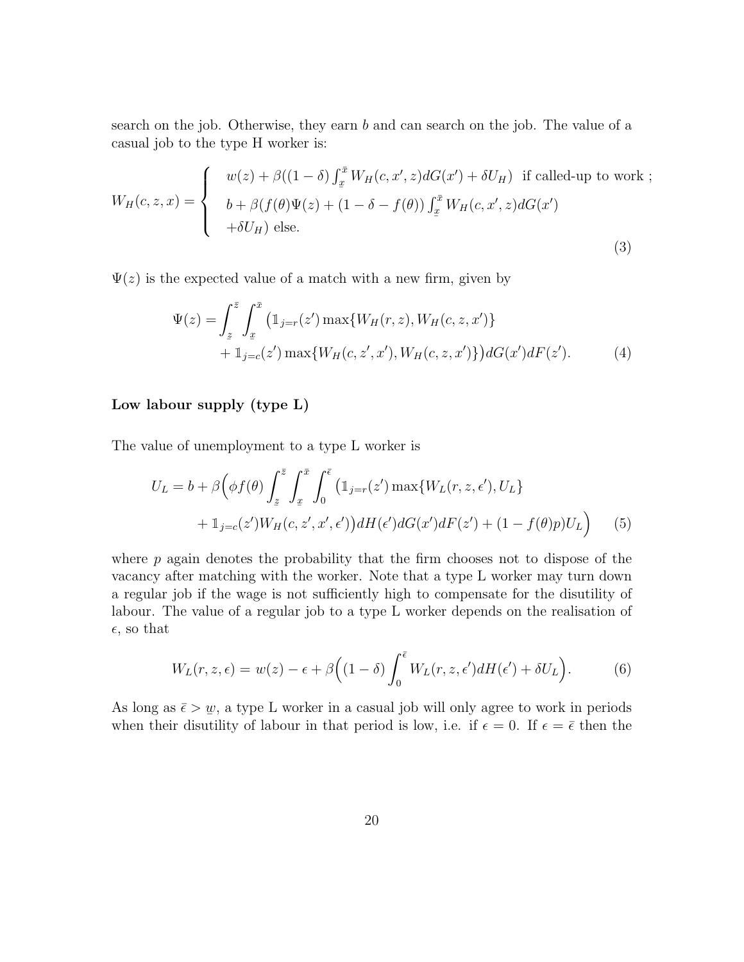search on the job. Otherwise, they earn b and can search on the job. The value of a casual job to the type H worker is:

$$
W_H(c, z, x) = \begin{cases} w(z) + \beta((1 - \delta) \int_x^{\bar{x}} W_H(c, x', z) dG(x') + \delta U_H) & \text{if called-up to work }; \\ b + \beta(f(\theta)\Psi(z) + (1 - \delta - f(\theta)) \int_x^{\bar{x}} W_H(c, x', z) dG(x') \\ + \delta U_H) & \text{else.} \end{cases}
$$
(3)

 $\Psi(z)$  is the expected value of a match with a new firm, given by

$$
\Psi(z) = \int_{z}^{\bar{z}} \int_{x}^{\bar{x}} \left( \mathbb{1}_{j=r}(z') \max\{W_H(r, z), W_H(c, z, x')\} + \mathbb{1}_{j=c}(z') \max\{W_H(c, z', x'), W_H(c, z, x')\} \right) dG(x') dF(z'). \tag{4}
$$

#### Low labour supply (type L)

The value of unemployment to a type L worker is

$$
U_L = b + \beta \Big( \phi f(\theta) \int_z^{\bar{z}} \int_x^{\bar{x}} \int_0^{\bar{\epsilon}} \left( \mathbb{1}_{j=r}(z') \max\{W_L(r, z, \epsilon'), U_L\} + \mathbb{1}_{j=c}(z') W_H(c, z', x', \epsilon') \right) dH(\epsilon') dG(x') dF(z') + (1 - f(\theta)p) U_L \Big)
$$
(5)

where  $p$  again denotes the probability that the firm chooses not to dispose of the vacancy after matching with the worker. Note that a type L worker may turn down a regular job if the wage is not sufficiently high to compensate for the disutility of labour. The value of a regular job to a type L worker depends on the realisation of  $\epsilon$ , so that

$$
W_L(r, z, \epsilon) = w(z) - \epsilon + \beta \Big( (1 - \delta) \int_0^{\bar{\epsilon}} W_L(r, z, \epsilon') dH(\epsilon') + \delta U_L \Big). \tag{6}
$$

As long as  $\bar{\epsilon} > w$ , a type L worker in a casual job will only agree to work in periods when their disutility of labour in that period is low, i.e. if  $\epsilon = 0$ . If  $\epsilon = \bar{\epsilon}$  then the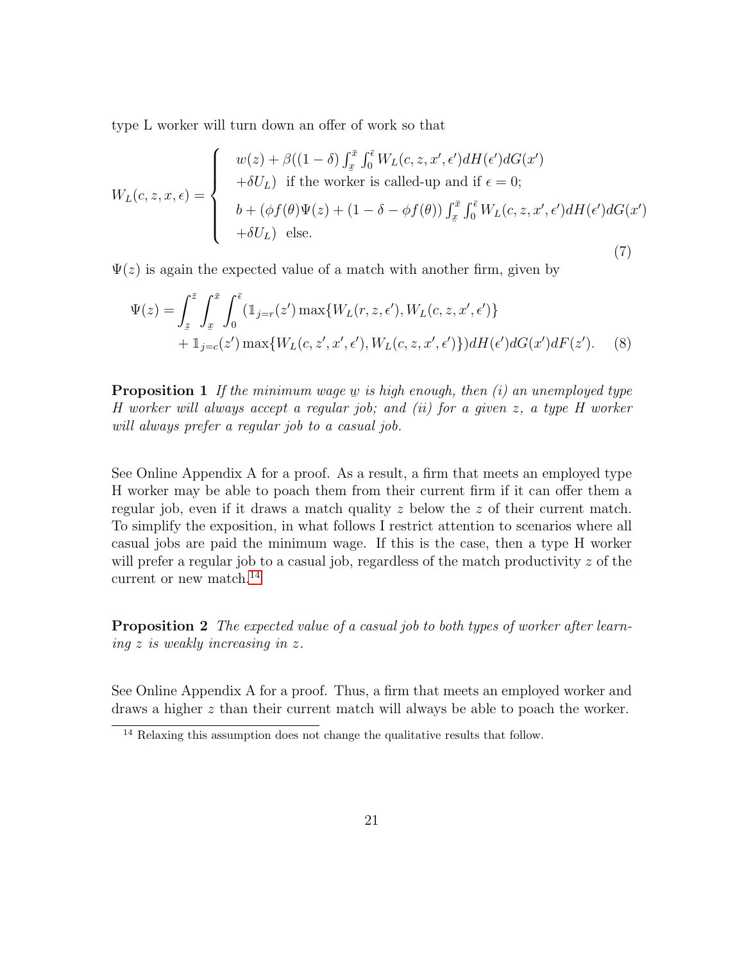type L worker will turn down an offer of work so that

$$
W_L(c, z, x, \epsilon) = \begin{cases} w(z) + \beta((1 - \delta) \int_x^{\bar{x}} \int_0^{\bar{\epsilon}} W_L(c, z, x', \epsilon') dH(\epsilon') dG(x') \\ + \delta U_L) & \text{if the worker is called-up and if } \epsilon = 0; \\ b + (\phi f(\theta) \Psi(z) + (1 - \delta - \phi f(\theta)) \int_x^{\bar{x}} \int_0^{\bar{\epsilon}} W_L(c, z, x', \epsilon') dH(\epsilon') dG(x') \\ + \delta U_L) & \text{else.} \end{cases}
$$
(7)

 $\Psi(z)$  is again the expected value of a match with another firm, given by

$$
\Psi(z) = \int_{z}^{\bar{z}} \int_{x}^{\bar{x}} \int_{0}^{\bar{\epsilon}} (\mathbb{1}_{j=r}(z') \max\{W_L(r, z, \epsilon'), W_L(c, z, x', \epsilon')\} + \mathbb{1}_{j=c}(z') \max\{W_L(c, z', x', \epsilon'), W_L(c, z, x', \epsilon')\} dH(\epsilon') dG(x') dF(z').
$$
\n(8)

<span id="page-22-1"></span>**Proposition 1** If the minimum wage  $\underline{w}$  is high enough, then (i) an unemployed type  $H$  worker will always accept a regular job; and (ii) for a given z, a type H worker will always prefer a regular job to a casual job.

See Online Appendix A for a proof. As a result, a firm that meets an employed type H worker may be able to poach them from their current firm if it can offer them a regular job, even if it draws a match quality z below the z of their current match. To simplify the exposition, in what follows I restrict attention to scenarios where all casual jobs are paid the minimum wage. If this is the case, then a type H worker will prefer a regular job to a casual job, regardless of the match productivity  $z$  of the current or new match.<sup>[14](#page-22-0)</sup>

<span id="page-22-2"></span>**Proposition 2** The expected value of a casual job to both types of worker after learning z is weakly increasing in z.

See Online Appendix A for a proof. Thus, a firm that meets an employed worker and draws a higher z than their current match will always be able to poach the worker.

<span id="page-22-0"></span><sup>14</sup> Relaxing this assumption does not change the qualitative results that follow.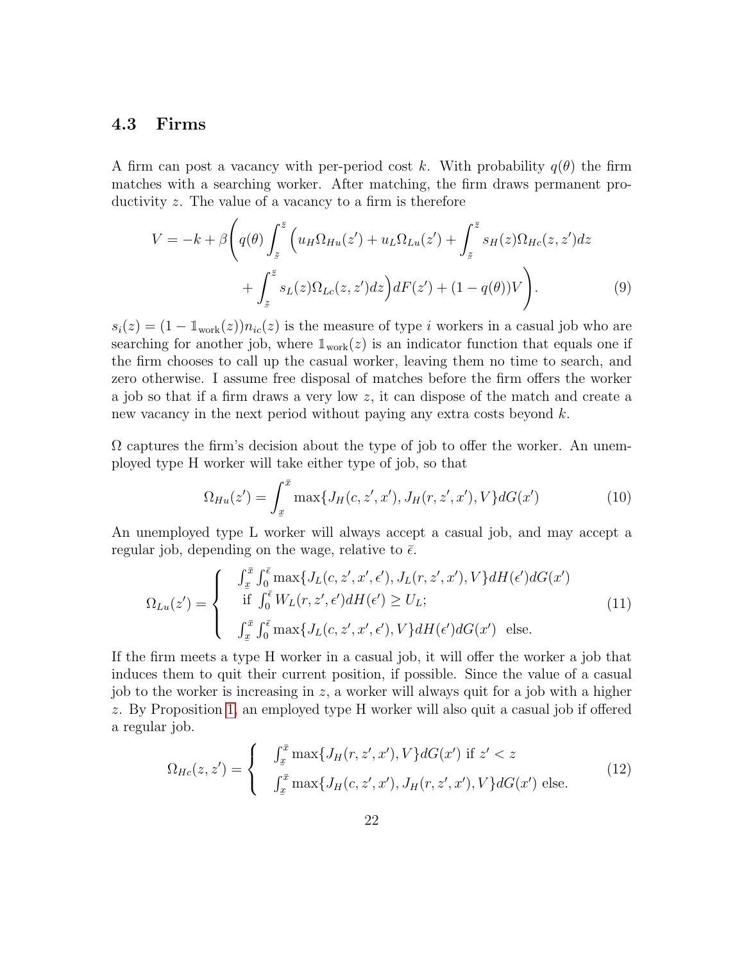### 4.3 Firms

A firm can post a vacancy with per-period cost k. With probability  $q(\theta)$  the firm matches with a searching worker. After matching, the firm draws permanent productivity z. The value of a vacancy to a firm is therefore

$$
V = -k + \beta \left( q(\theta) \int_{\tilde{z}}^{\tilde{z}} \left( u_H \Omega_{Hu}(z') + u_L \Omega_{Lu}(z') + \int_{\tilde{z}}^{\tilde{z}} s_H(z) \Omega_{Hc}(z, z') dz + \int_{\tilde{z}}^{\tilde{z}} s_L(z) \Omega_{Lc}(z, z') dz \right) dF(z') + (1 - q(\theta))V \right).
$$
 (9)

 $s_i(z) = (1 - \mathbb{1}_{work}(z))n_{ic}(z)$  is the measure of type i workers in a casual job who are searching for another job, where  $\mathbb{1}_{work}(z)$  is an indicator function that equals one if the firm chooses to call up the casual worker, leaving them no time to search, and zero otherwise. I assume free disposal of matches before the firm offers the worker a job so that if a firm draws a very low  $z$ , it can dispose of the match and create a new vacancy in the next period without paying any extra costs beyond k.

 $\Omega$  captures the firm's decision about the type of job to offer the worker. An unemployed type H worker will take either type of job, so that

<span id="page-23-0"></span>
$$
\Omega_{Hu}(z') = \int_x^{\bar{x}} \max\{J_H(c, z', x'), J_H(r, z', x'), V\} dG(x')
$$
\n(10)

An unemployed type L worker will always accept a casual job, and may accept a regular job, depending on the wage, relative to  $\bar{\epsilon}$ .

$$
\Omega_{Lu}(z') = \begin{cases}\n\int_{\underline{x}}^{\overline{x}} \int_0^{\overline{\epsilon}} \max\{J_L(c, z', x', \epsilon'), J_L(r, z', x'), V\} dH(\epsilon') dG(x') \\
\text{if } \int_0^{\overline{\epsilon}} W_L(r, z', \epsilon') dH(\epsilon') \ge U_L; \\
\int_{\underline{x}}^{\overline{x}} \int_0^{\overline{\epsilon}} \max\{J_L(c, z', x', \epsilon'), V\} dH(\epsilon') dG(x')\n\end{cases} \tag{11}
$$

If the firm meets a type H worker in a casual job, it will offer the worker a job that induces them to quit their current position, if possible. Since the value of a casual job to the worker is increasing in  $z$ , a worker will always quit for a job with a higher z. By Proposition [1,](#page-22-1) an employed type H worker will also quit a casual job if offered a regular job.

$$
\Omega_{Hc}(z, z') = \begin{cases}\n\int_{x}^{\bar{x}} \max\{J_H(r, z', x'), V\} dG(x') & \text{if } z' < z \\
\int_{x}^{\bar{x}} \max\{J_H(c, z', x'), J_H(r, z', x'), V\} dG(x') & \text{else.}\n\end{cases}
$$
\n(12)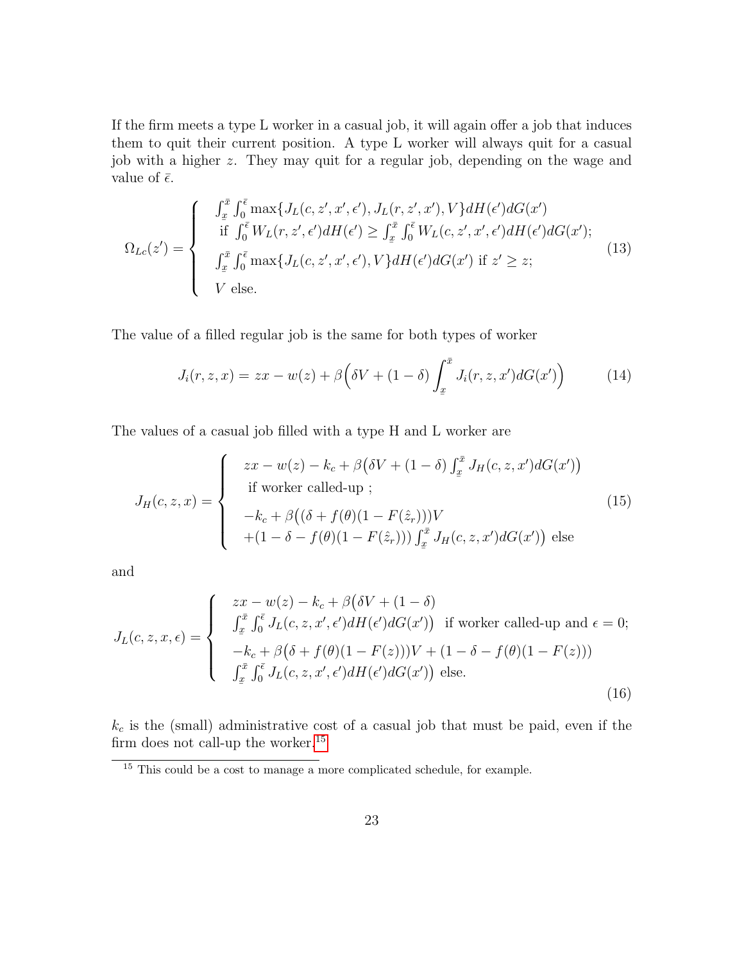If the firm meets a type L worker in a casual job, it will again offer a job that induces them to quit their current position. A type L worker will always quit for a casual job with a higher z. They may quit for a regular job, depending on the wage and value of  $\bar{\epsilon}$ .

$$
\Omega_{Lc}(z') = \begin{cases}\n\int_{x}^{\bar{x}} \int_{0}^{\bar{\epsilon}} \max\{J_{L}(c, z', x', \epsilon'), J_{L}(r, z', x'), V\} dH(\epsilon') dG(x') \\
\text{if } \int_{0}^{\bar{\epsilon}} W_{L}(r, z', \epsilon') dH(\epsilon') \ge \int_{x}^{\bar{x}} \int_{0}^{\bar{\epsilon}} W_{L}(c, z', x', \epsilon') dH(\epsilon') dG(x'); \\
\int_{x}^{\bar{x}} \int_{0}^{\bar{\epsilon}} \max\{J_{L}(c, z', x', \epsilon'), V\} dH(\epsilon') dG(x') \text{ if } z' \ge z; \\
V \text{ else.} \n\end{cases} \tag{13}
$$

The value of a filled regular job is the same for both types of worker

<span id="page-24-3"></span><span id="page-24-1"></span>
$$
J_i(r, z, x) = zx - w(z) + \beta \left( \delta V + (1 - \delta) \int_x^{\bar{x}} J_i(r, z, x') dG(x') \right) \tag{14}
$$

The values of a casual job filled with a type H and L worker are

$$
J_H(c, z, x) = \begin{cases} zx - w(z) - k_c + \beta(\delta V + (1 - \delta) \int_x^{\bar{x}} J_H(c, z, x') dG(x')) \\ \text{if worker called-up } \\ -k_c + \beta((\delta + f(\theta)(1 - F(\hat{z}_r)))V \\ + (1 - \delta - f(\theta)(1 - F(\hat{z}_r))) \int_x^{\bar{x}} J_H(c, z, x') dG(x')) \text{ else} \end{cases}
$$
(15)

and

$$
J_L(c, z, x, \epsilon) = \begin{cases} zx - w(z) - k_c + \beta(\delta V + (1 - \delta)) \\ \int_x^{\bar{x}} \int_0^{\bar{\epsilon}} J_L(c, z, x', \epsilon') dH(\epsilon') dG(x') \text{ if worker called-up and } \epsilon = 0; \\ -k_c + \beta(\delta + f(\theta)(1 - F(z)))V + (1 - \delta - f(\theta)(1 - F(z))) \\ \int_x^{\bar{x}} \int_0^{\bar{\epsilon}} J_L(c, z, x', \epsilon') dH(\epsilon') dG(x') \text{ else.} \end{cases}
$$
(16)

 $k_c$  is the (small) administrative cost of a casual job that must be paid, even if the firm does not call-up the worker.<sup>[15](#page-24-0)</sup>

<span id="page-24-4"></span><span id="page-24-2"></span><span id="page-24-0"></span><sup>&</sup>lt;sup>15</sup> This could be a cost to manage a more complicated schedule, for example.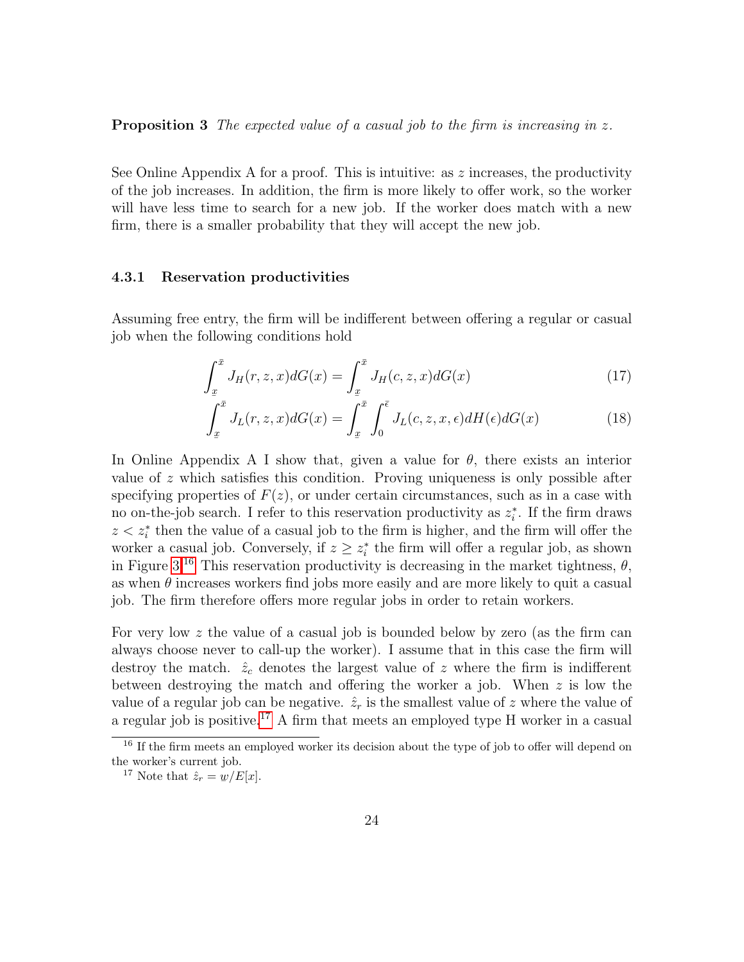**Proposition 3** The expected value of a casual job to the firm is increasing in z.

See Online Appendix A for a proof. This is intuitive: as  $z$  increases, the productivity of the job increases. In addition, the firm is more likely to offer work, so the worker will have less time to search for a new job. If the worker does match with a new firm, there is a smaller probability that they will accept the new job.

#### 4.3.1 Reservation productivities

Assuming free entry, the firm will be indifferent between offering a regular or casual job when the following conditions hold

$$
\int_{x}^{\bar{x}} J_H(r, z, x) dG(x) = \int_{x}^{\bar{x}} J_H(c, z, x) dG(x)
$$
\n(17)

$$
\int_{x}^{\bar{x}} J_L(r, z, x) dG(x) = \int_{x}^{\bar{x}} \int_{0}^{\bar{\epsilon}} J_L(c, z, x, \epsilon) dH(\epsilon) dG(x)
$$
\n(18)

In Online Appendix A I show that, given a value for  $\theta$ , there exists an interior value of z which satisfies this condition. Proving uniqueness is only possible after specifying properties of  $F(z)$ , or under certain circumstances, such as in a case with no on-the-job search. I refer to this reservation productivity as  $z_i^*$ . If the firm draws  $z < z_i^*$  then the value of a casual job to the firm is higher, and the firm will offer the worker a casual job. Conversely, if  $z \geq z_i^*$  the firm will offer a regular job, as shown in Figure [3.](#page-26-0)<sup>[16](#page-25-0)</sup> This reservation productivity is decreasing in the market tightness,  $\theta$ , as when  $\theta$  increases workers find jobs more easily and are more likely to quit a casual job. The firm therefore offers more regular jobs in order to retain workers.

For very low  $z$  the value of a casual job is bounded below by zero (as the firm can always choose never to call-up the worker). I assume that in this case the firm will destroy the match.  $\hat{z}_c$  denotes the largest value of z where the firm is indifferent between destroying the match and offering the worker a job. When z is low the value of a regular job can be negative.  $\hat{z}_r$  is the smallest value of z where the value of a regular job is positive.[17](#page-25-1) A firm that meets an employed type H worker in a casual

<span id="page-25-0"></span><sup>&</sup>lt;sup>16</sup> If the firm meets an employed worker its decision about the type of job to offer will depend on the worker's current job.

<span id="page-25-1"></span><sup>&</sup>lt;sup>17</sup> Note that  $\hat{z}_r = \underline{w}/E[x]$ .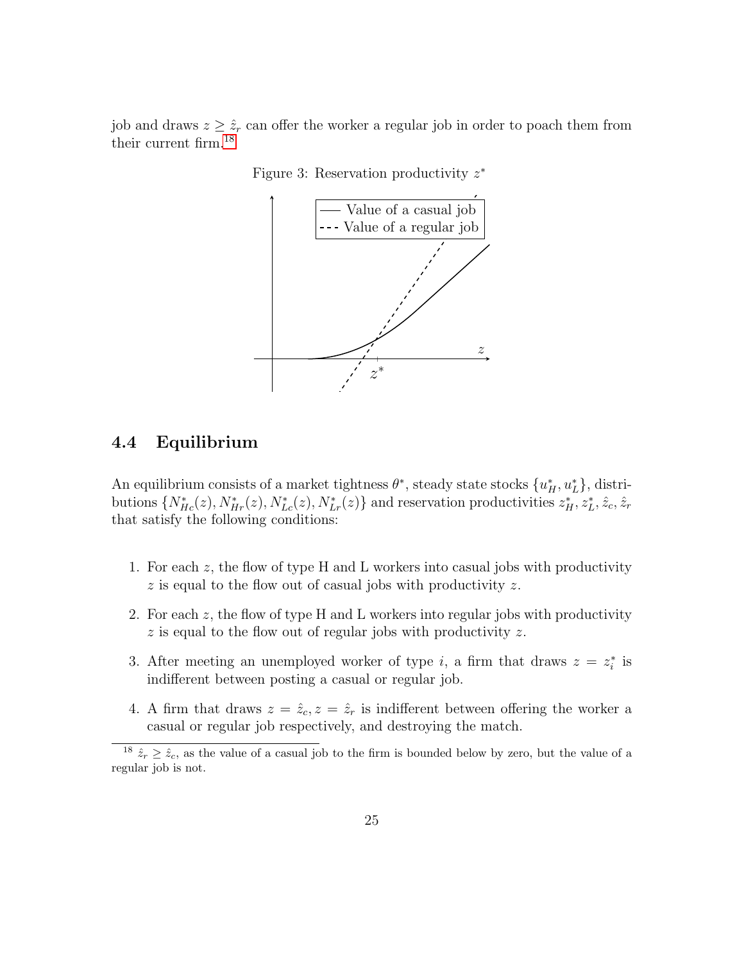<span id="page-26-0"></span>job and draws  $z \geq \hat{z}_r$  can offer the worker a regular job in order to poach them from their current firm.[18](#page-26-1)



Figure 3: Reservation productivity  $z^*$ 

# 4.4 Equilibrium

An equilibrium consists of a market tightness  $\theta^*$ , steady state stocks  $\{u_H^*, u_L^*\}$ , distributions  $\{N_{He}^*(z), N_{He}^*(z), N_{Le}^*(z), N_{Le}^*(z)\}\$  and reservation productivities  $z_H^*, z_L^*, \hat{z}_c, \hat{z}_r$ that satisfy the following conditions:

- 1. For each  $z$ , the flow of type H and L workers into casual jobs with productivity  $z$  is equal to the flow out of casual jobs with productivity  $z$ .
- 2. For each  $z$ , the flow of type H and L workers into regular jobs with productivity z is equal to the flow out of regular jobs with productivity z.
- 3. After meeting an unemployed worker of type i, a firm that draws  $z = z_i^*$  is indifferent between posting a casual or regular job.
- 4. A firm that draws  $z = \hat{z}_c, z = \hat{z}_r$  is indifferent between offering the worker a casual or regular job respectively, and destroying the match.

<span id="page-26-1"></span><sup>&</sup>lt;sup>18</sup>  $\hat{z}_r \geq \hat{z}_c$ , as the value of a casual job to the firm is bounded below by zero, but the value of a regular job is not.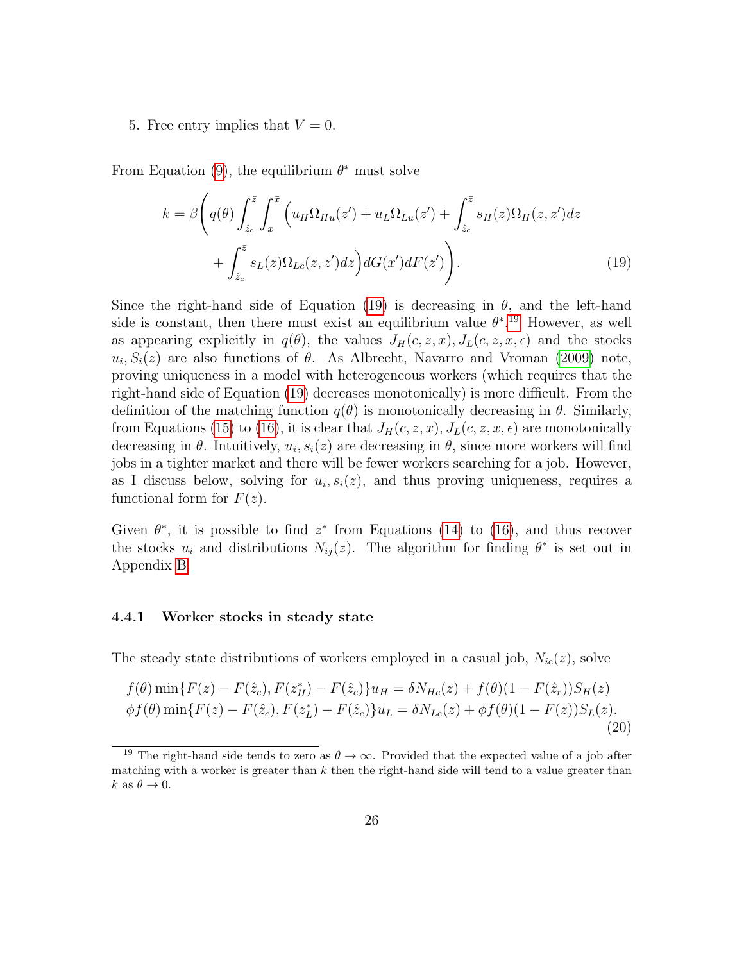#### 5. Free entry implies that  $V = 0$ .

From Equation [\(9\)](#page-23-0), the equilibrium  $\theta^*$  must solve

<span id="page-27-0"></span>
$$
k = \beta \left( q(\theta) \int_{\hat{z}_c}^{\bar{z}} \int_x^{\bar{x}} \left( u_H \Omega_{Hu}(z') + u_L \Omega_{Lu}(z') + \int_{\hat{z}_c}^{\bar{z}} s_H(z) \Omega_H(z, z') dz + \int_{\hat{z}_c}^{\bar{z}} s_L(z) \Omega_{Lc}(z, z') dz \right) dG(x') dF(z') \right). \tag{19}
$$

Since the right-hand side of Equation [\(19\)](#page-27-0) is decreasing in  $\theta$ , and the left-hand side is constant, then there must exist an equilibrium value  $\theta^{*}$ .<sup>[19](#page-27-1)</sup> However, as well as appearing explicitly in  $q(\theta)$ , the values  $J_H(c, z, x)$ ,  $J_L(c, z, x, \epsilon)$  and the stocks  $u_i, S_i(z)$  are also functions of  $\theta$ . As Albrecht, Navarro and Vroman [\(2009\)](#page-40-5) note, proving uniqueness in a model with heterogeneous workers (which requires that the right-hand side of Equation [\(19\)](#page-27-0) decreases monotonically) is more difficult. From the definition of the matching function  $q(\theta)$  is monotonically decreasing in  $\theta$ . Similarly, from Equations [\(15\)](#page-24-1) to [\(16\)](#page-24-2), it is clear that  $J_H(c, z, x)$ ,  $J_L(c, z, x, \epsilon)$  are monotonically decreasing in  $\theta$ . Intuitively,  $u_i, s_i(z)$  are decreasing in  $\theta$ , since more workers will find jobs in a tighter market and there will be fewer workers searching for a job. However, as I discuss below, solving for  $u_i, s_i(z)$ , and thus proving uniqueness, requires a functional form for  $F(z)$ .

Given  $\theta^*$ , it is possible to find  $z^*$  from Equations [\(14\)](#page-24-3) to [\(16\)](#page-24-2), and thus recover the stocks  $u_i$  and distributions  $N_{ij}(z)$ . The algorithm for finding  $\theta^*$  is set out in Appendix [B.](#page-46-0)

#### 4.4.1 Worker stocks in steady state

The steady state distributions of workers employed in a casual job,  $N_{ic}(z)$ , solve

<span id="page-27-2"></span>
$$
f(\theta) \min\{F(z) - F(\hat{z}_c), F(z_H^*) - F(\hat{z}_c)\}u_H = \delta N_{Hc}(z) + f(\theta)(1 - F(\hat{z}_r))S_H(z)
$$
  

$$
\phi f(\theta) \min\{F(z) - F(\hat{z}_c), F(z_L^*) - F(\hat{z}_c)\}u_L = \delta N_{Lc}(z) + \phi f(\theta)(1 - F(z))S_L(z).
$$
\n(20)

<span id="page-27-1"></span><sup>&</sup>lt;sup>19</sup> The right-hand side tends to zero as  $\theta \to \infty$ . Provided that the expected value of a job after matching with a worker is greater than  $k$  then the right-hand side will tend to a value greater than k as  $\theta \to 0$ .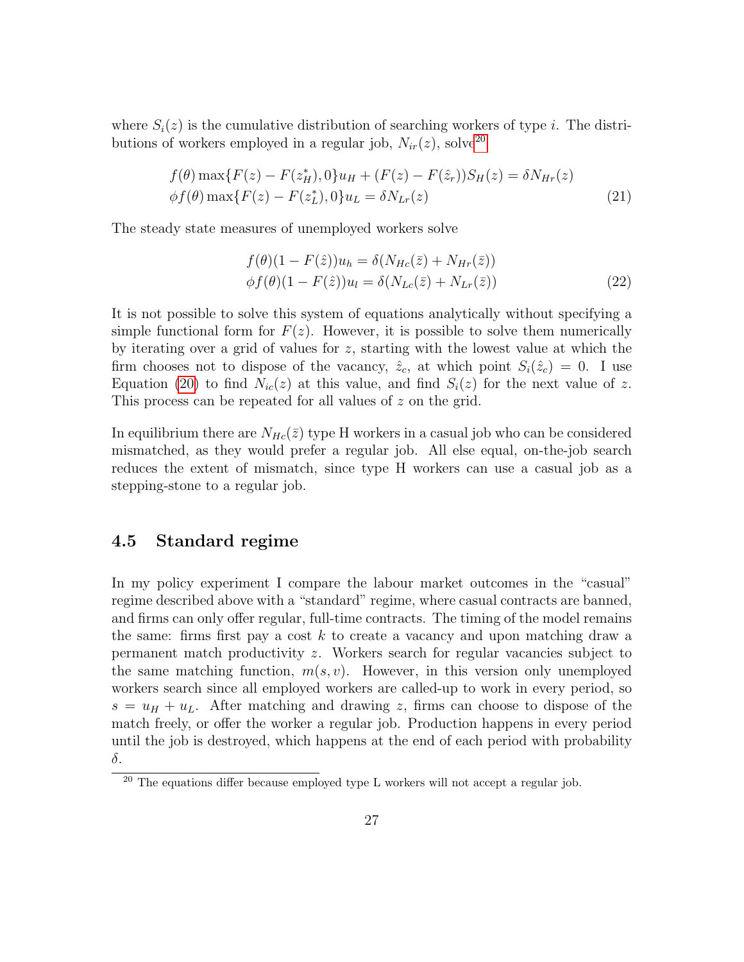where  $S_i(z)$  is the cumulative distribution of searching workers of type *i*. The distributions of workers employed in a regular job,  $N_{ir}(z)$ , solve<sup>[20](#page-28-0)</sup>

$$
f(\theta) \max\{F(z) - F(z_H^*), 0\} u_H + (F(z) - F(\hat{z}_r)) S_H(z) = \delta N_{Hr}(z)
$$
  

$$
\phi f(\theta) \max\{F(z) - F(z_L^*), 0\} u_L = \delta N_{Lr}(z)
$$
 (21)

The steady state measures of unemployed workers solve

<span id="page-28-1"></span>
$$
f(\theta)(1 - F(\hat{z}))u_h = \delta(N_{Hc}(\bar{z}) + N_{Hr}(\bar{z}))
$$
  
\n
$$
\phi f(\theta)(1 - F(\hat{z}))u_l = \delta(N_{Lc}(\bar{z}) + N_{Lr}(\bar{z}))
$$
\n(22)

It is not possible to solve this system of equations analytically without specifying a simple functional form for  $F(z)$ . However, it is possible to solve them numerically by iterating over a grid of values for z, starting with the lowest value at which the firm chooses not to dispose of the vacancy,  $\hat{z}_c$ , at which point  $S_i(\hat{z}_c) = 0$ . I use Equation [\(20\)](#page-27-2) to find  $N_{ic}(z)$  at this value, and find  $S_i(z)$  for the next value of z. This process can be repeated for all values of z on the grid.

In equilibrium there are  $N_{He}(\bar{z})$  type H workers in a casual job who can be considered mismatched, as they would prefer a regular job. All else equal, on-the-job search reduces the extent of mismatch, since type H workers can use a casual job as a stepping-stone to a regular job.

### 4.5 Standard regime

In my policy experiment I compare the labour market outcomes in the "casual" regime described above with a "standard" regime, where casual contracts are banned, and firms can only offer regular, full-time contracts. The timing of the model remains the same: firms first pay a cost  $k$  to create a vacancy and upon matching draw a permanent match productivity z. Workers search for regular vacancies subject to the same matching function,  $m(s, v)$ . However, in this version only unemployed workers search since all employed workers are called-up to work in every period, so  $s = u_H + u_L$ . After matching and drawing z, firms can choose to dispose of the match freely, or offer the worker a regular job. Production happens in every period until the job is destroyed, which happens at the end of each period with probability δ.

<span id="page-28-0"></span> $20$  The equations differ because employed type L workers will not accept a regular job.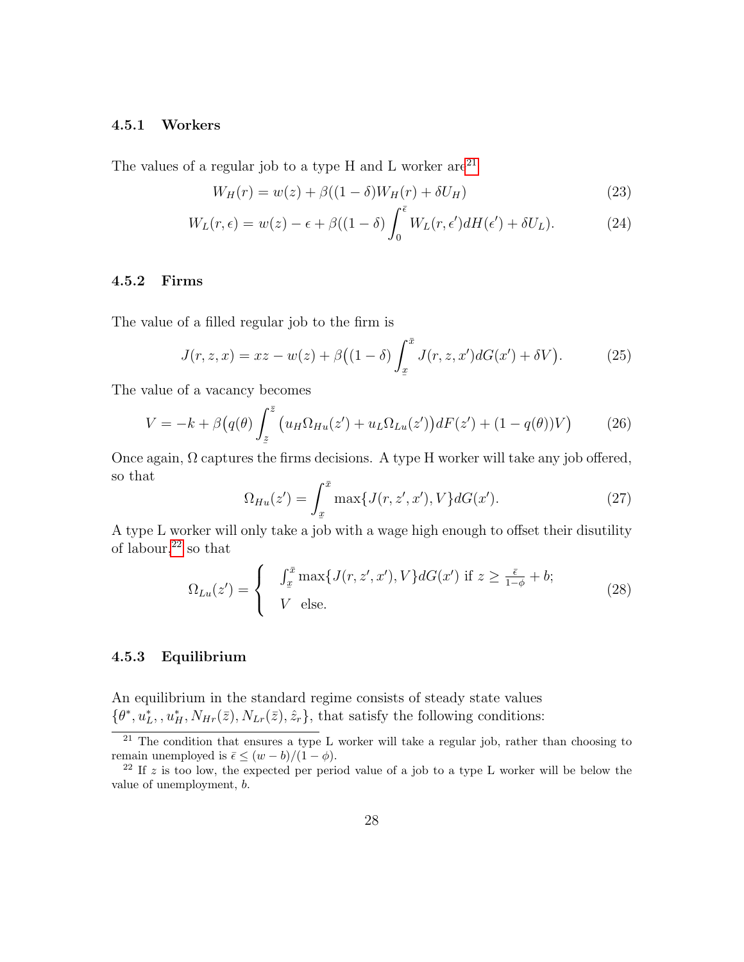#### 4.5.1 Workers

The values of a regular job to a type H and L worker  $are^{21}$  $are^{21}$  $are^{21}$ 

$$
W_H(r) = w(z) + \beta((1 - \delta)W_H(r) + \delta U_H)
$$
\n(23)

$$
W_L(r,\epsilon) = w(z) - \epsilon + \beta((1-\delta)\int_0^{\bar{\epsilon}} W_L(r,\epsilon')dH(\epsilon') + \delta U_L). \tag{24}
$$

### 4.5.2 Firms

The value of a filled regular job to the firm is

$$
J(r, z, x) = xz - w(z) + \beta((1 - \delta) \int_{x}^{\bar{x}} J(r, z, x') dG(x') + \delta V).
$$
 (25)

The value of a vacancy becomes

$$
V = -k + \beta \left( q(\theta) \int_{z}^{\bar{z}} \left( u_H \Omega_{Hu}(z') + u_L \Omega_{Lu}(z') \right) dF(z') + (1 - q(\theta)) V \right) \tag{26}
$$

Once again,  $\Omega$  captures the firms decisions. A type H worker will take any job offered, so that

<span id="page-29-2"></span>
$$
\Omega_{Hu}(z') = \int_x^{\bar{x}} \max\{J(r, z', x'), V\} dG(x'). \tag{27}
$$

A type L worker will only take a job with a wage high enough to offset their disutility of labour, $22$  so that

$$
\Omega_{Lu}(z') = \begin{cases}\n\int_{\underline{x}}^{\overline{x}} \max\{J(r, z', x'), V\} dG(x') & \text{if } z \ge \frac{\overline{\epsilon}}{1 - \phi} + b; \\
V & \text{else.}\n\end{cases}
$$
\n(28)

#### 4.5.3 Equilibrium

An equilibrium in the standard regime consists of steady state values  $\{\theta^*, u_L^*, u_H^*, N_{Hr}(\bar{z}), N_{Lr}(\bar{z}), \hat{z}_r\}$ , that satisfy the following conditions:

<span id="page-29-0"></span> $\overline{a^{21}}$  The condition that ensures a type L worker will take a regular job, rather than choosing to remain unemployed is  $\bar{\epsilon} \leq (w - b)/(1 - \phi)$ .

<span id="page-29-1"></span> $22$  If z is too low, the expected per period value of a job to a type L worker will be below the value of unemployment, b.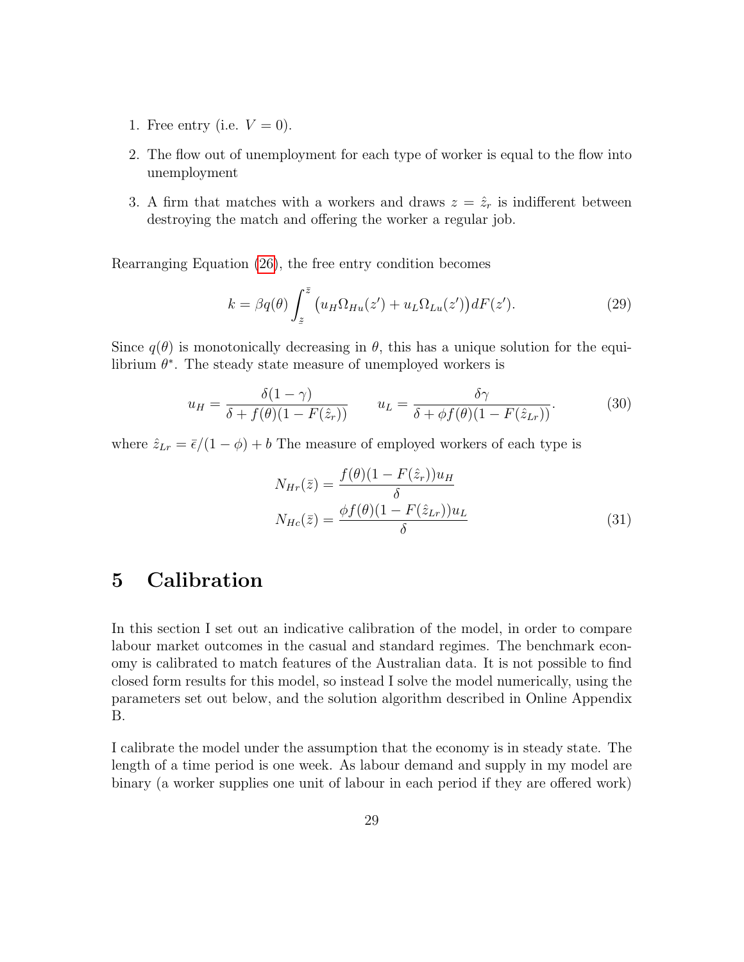- 1. Free entry (i.e.  $V = 0$ ).
- 2. The flow out of unemployment for each type of worker is equal to the flow into unemployment
- 3. A firm that matches with a workers and draws  $z = \hat{z}_r$  is indifferent between destroying the match and offering the worker a regular job.

Rearranging Equation [\(26\)](#page-29-2), the free entry condition becomes

$$
k = \beta q(\theta) \int_{z}^{\bar{z}} \left( u_H \Omega_{Hu}(z') + u_L \Omega_{Lu}(z') \right) dF(z'). \tag{29}
$$

Since  $q(\theta)$  is monotonically decreasing in  $\theta$ , this has a unique solution for the equilibrium  $\theta^*$ . The steady state measure of unemployed workers is

$$
u_H = \frac{\delta(1-\gamma)}{\delta + f(\theta)(1 - F(\hat{z}_r))} \qquad u_L = \frac{\delta\gamma}{\delta + \phi f(\theta)(1 - F(\hat{z}_{Lr}))}.
$$
(30)

where  $\hat{z}_{Lr} = \bar{\epsilon}/(1 - \phi) + b$  The measure of employed workers of each type is

$$
N_{Hr}(\bar{z}) = \frac{f(\theta)(1 - F(\hat{z}_r))u_H}{\delta}
$$

$$
N_{Hc}(\bar{z}) = \frac{\phi f(\theta)(1 - F(\hat{z}_{Lr}))u_L}{\delta}
$$
(31)

# <span id="page-30-0"></span>5 Calibration

In this section I set out an indicative calibration of the model, in order to compare labour market outcomes in the casual and standard regimes. The benchmark economy is calibrated to match features of the Australian data. It is not possible to find closed form results for this model, so instead I solve the model numerically, using the parameters set out below, and the solution algorithm described in Online Appendix B.

I calibrate the model under the assumption that the economy is in steady state. The length of a time period is one week. As labour demand and supply in my model are binary (a worker supplies one unit of labour in each period if they are offered work)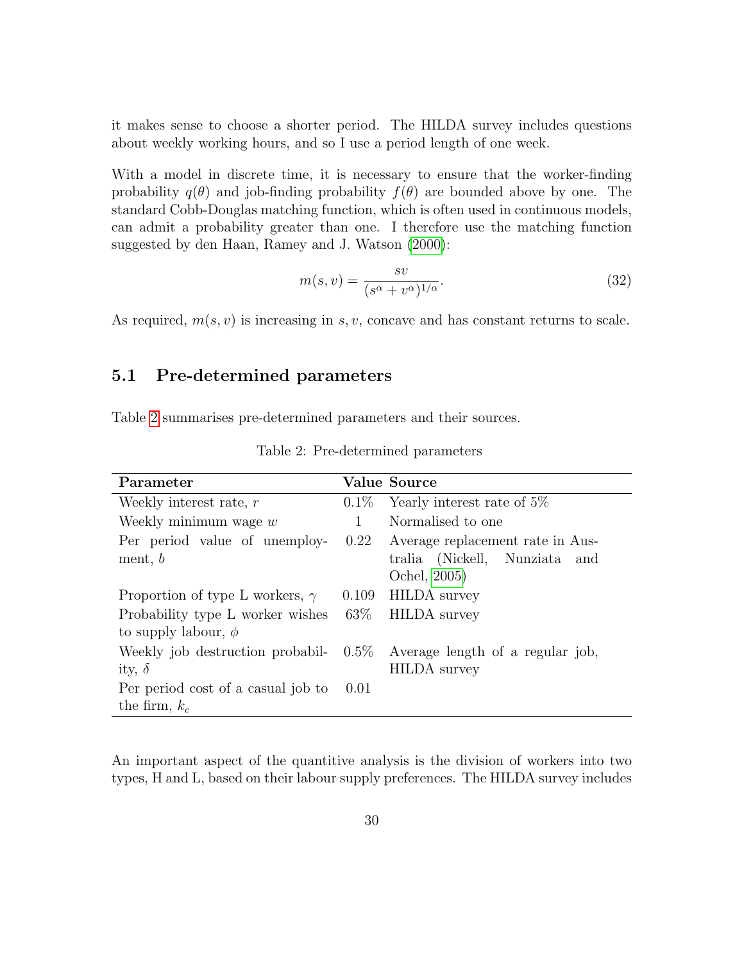it makes sense to choose a shorter period. The HILDA survey includes questions about weekly working hours, and so I use a period length of one week.

With a model in discrete time, it is necessary to ensure that the worker-finding probability  $q(\theta)$  and job-finding probability  $f(\theta)$  are bounded above by one. The standard Cobb-Douglas matching function, which is often used in continuous models, can admit a probability greater than one. I therefore use the matching function suggested by den Haan, Ramey and J. Watson [\(2000\)](#page-41-11):

$$
m(s,v) = \frac{sv}{(s^{\alpha} + v^{\alpha})^{1/\alpha}}.
$$
\n(32)

As required,  $m(s, v)$  is increasing in s, v, concave and has constant returns to scale.

### 5.1 Pre-determined parameters

<span id="page-31-0"></span>Table [2](#page-31-0) summarises pre-determined parameters and their sources.

| Parameter                                                           |         | <b>Value Source</b>                                                               |
|---------------------------------------------------------------------|---------|-----------------------------------------------------------------------------------|
| Weekly interest rate, $r$                                           | $0.1\%$ | Yearly interest rate of 5%                                                        |
| Weekly minimum wage $w$                                             | 1       | Normalised to one                                                                 |
| Per period value of unemploy-<br>ment, $b$                          | 0.22    | Average replacement rate in Aus-<br>tralia (Nickell, Nunziata and<br>Ochel, 2005) |
| Proportion of type L workers, $\gamma$                              | 0.109   | <b>HILDA</b> survey                                                               |
| Probability type L worker wishes $63\%$<br>to supply labour, $\phi$ |         | <b>HILDA</b> survey                                                               |
| Weekly job destruction probabil-<br>ity, $\delta$                   | $0.5\%$ | Average length of a regular job,<br><b>HILDA</b> survey                           |
| Per period cost of a casual job to<br>the firm, $k_c$               | 0.01    |                                                                                   |

Table 2: Pre-determined parameters

An important aspect of the quantitive analysis is the division of workers into two types, H and L, based on their labour supply preferences. The HILDA survey includes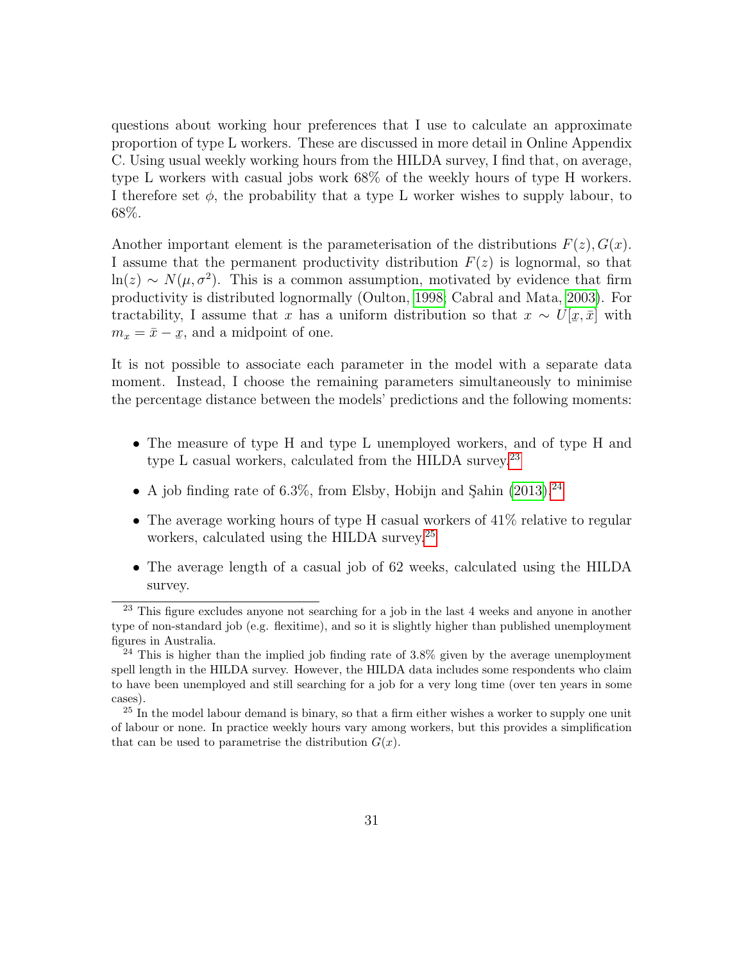questions about working hour preferences that I use to calculate an approximate proportion of type L workers. These are discussed in more detail in Online Appendix C. Using usual weekly working hours from the HILDA survey, I find that, on average, type L workers with casual jobs work 68% of the weekly hours of type H workers. I therefore set  $\phi$ , the probability that a type L worker wishes to supply labour, to 68%.

Another important element is the parameterisation of the distributions  $F(z)$ ,  $G(x)$ . I assume that the permanent productivity distribution  $F(z)$  is lognormal, so that  $\ln(z) \sim N(\mu, \sigma^2)$ . This is a common assumption, motivated by evidence that firm productivity is distributed lognormally (Oulton, [1998;](#page-41-13) Cabral and Mata, [2003\)](#page-40-6). For tractability, I assume that x has a uniform distribution so that  $x \sim U$ [ ¯  $[x, \bar{x}]$  with  $m_x = \bar{x} - \underline{x}$ x, and a midpoint of one.

It is not possible to associate each parameter in the model with a separate data moment. Instead, I choose the remaining parameters simultaneously to minimise the percentage distance between the models' predictions and the following moments:

- The measure of type H and type L unemployed workers, and of type H and type L casual workers, calculated from the HILDA survey.<sup>[23](#page-32-0)</sup>
- A job finding rate of 6.3%, from Elsby, Hobijn and Sahin  $(2013)$ .<sup>[24](#page-32-1)</sup>
- The average working hours of type H casual workers of 41% relative to regular workers, calculated using the HILDA survey.<sup>[25](#page-32-2)</sup>
- The average length of a casual job of 62 weeks, calculated using the HILDA survey.

<span id="page-32-0"></span><sup>&</sup>lt;sup>23</sup> This figure excludes anyone not searching for a job in the last 4 weeks and anyone in another type of non-standard job (e.g. flexitime), and so it is slightly higher than published unemployment figures in Australia.

<span id="page-32-1"></span> $^{24}$  This is higher than the implied job finding rate of 3.8% given by the average unemployment spell length in the HILDA survey. However, the HILDA data includes some respondents who claim to have been unemployed and still searching for a job for a very long time (over ten years in some cases).

<span id="page-32-2"></span> $25$  In the model labour demand is binary, so that a firm either wishes a worker to supply one unit of labour or none. In practice weekly hours vary among workers, but this provides a simplification that can be used to parametrise the distribution  $G(x)$ .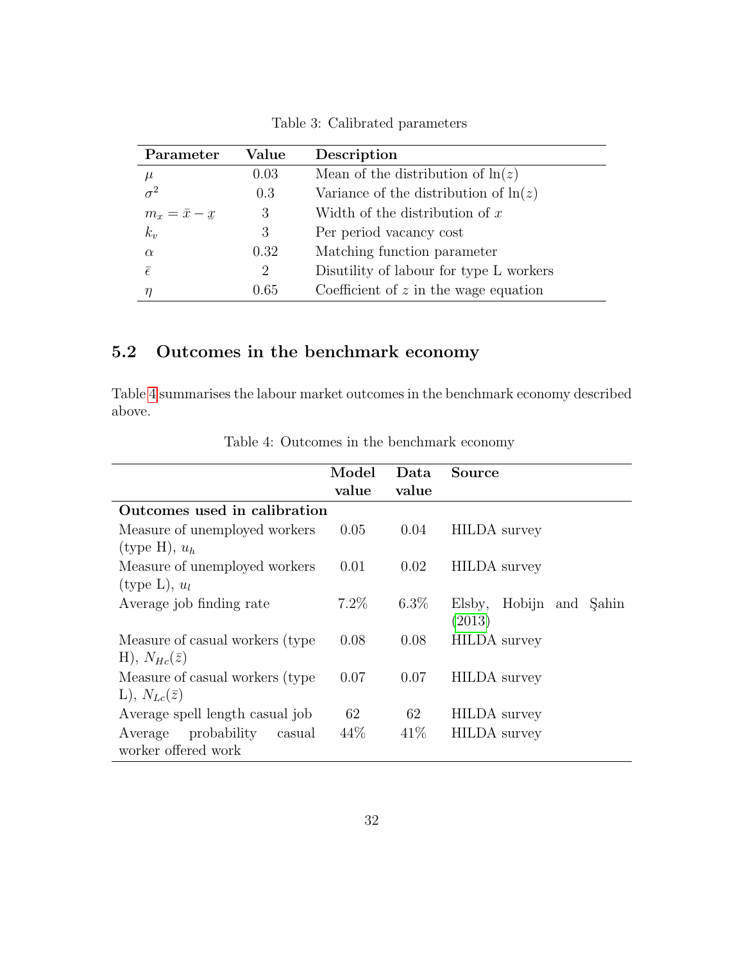| Parameter           | Value | Description                              |
|---------------------|-------|------------------------------------------|
| $\mu$               | 0.03  | Mean of the distribution of $\ln(z)$     |
|                     | 0.3   | Variance of the distribution of $\ln(z)$ |
| $m_x = \bar{x} - x$ | 3     | Width of the distribution of $x$         |
| $k_v$               | 3     | Per period vacancy cost                  |
| $\alpha$            | 0.32  | Matching function parameter              |
| $\bar{\epsilon}$    | 2     | Disutility of labour for type L workers  |
|                     | 0.65  | Coefficient of $z$ in the wage equation  |

Table 3: Calibrated parameters

# 5.2 Outcomes in the benchmark economy

Table [4](#page-33-0) summarises the labour market outcomes in the benchmark economy described above.

<span id="page-33-0"></span>

|                                  | Model   | Data    | Source                     |
|----------------------------------|---------|---------|----------------------------|
|                                  | value   | value   |                            |
| Outcomes used in calibration     |         |         |                            |
| Measure of unemployed workers    | 0.05    | 0.04    | <b>HILDA</b> survey        |
| (type H), $u_h$                  |         |         |                            |
| Measure of unemployed workers    | 0.01    | 0.02    | <b>HILDA</b> survey        |
| (type L), $u_l$                  |         |         |                            |
| Average job finding rate         | $7.2\%$ | $6.3\%$ | Hobijn and Şahin<br>Elsby, |
|                                  |         |         | (2013)                     |
| Measure of casual workers (type) | 0.08    | 0.08    | <b>HILDA</b> survey        |
| H), $N_{He}(\bar{z})$            |         |         |                            |
| Measure of casual workers (type) | 0.07    | 0.07    | <b>HILDA</b> survey        |
| $L), N_{Lc}(\bar{z})$            |         |         |                            |
| Average spell length casual job  | 62      | 62      | <b>HILDA</b> survey        |
| probability<br>Average<br>casual | 44\%    | 41\%    | <b>HILDA</b> survey        |
| worker offered work              |         |         |                            |

Table 4: Outcomes in the benchmark economy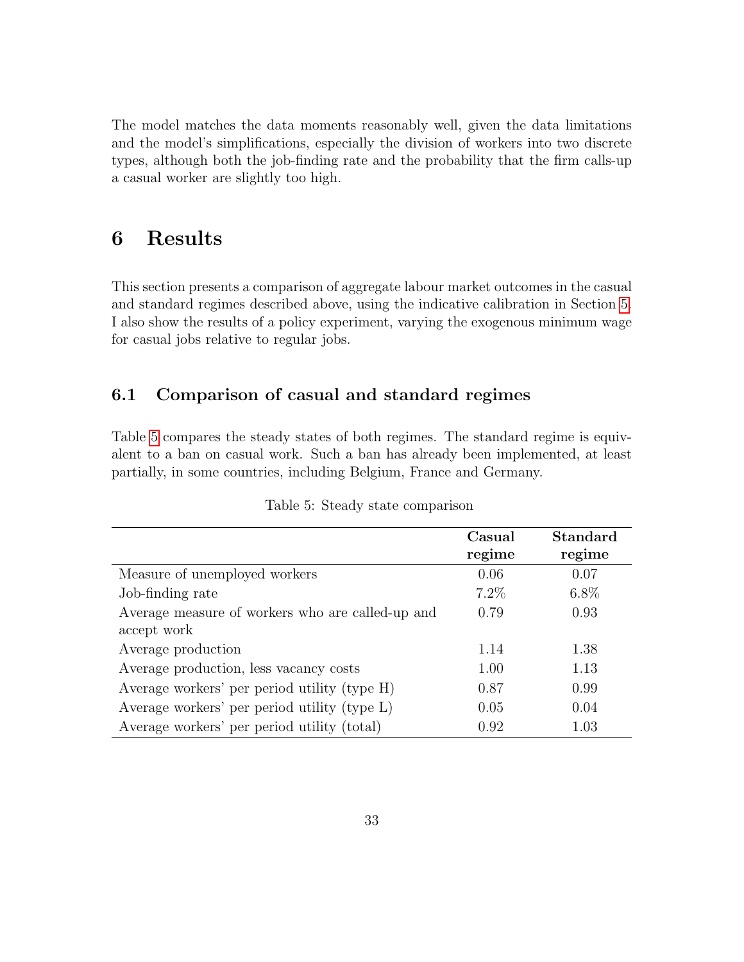The model matches the data moments reasonably well, given the data limitations and the model's simplifications, especially the division of workers into two discrete types, although both the job-finding rate and the probability that the firm calls-up a casual worker are slightly too high.

# <span id="page-34-0"></span>6 Results

This section presents a comparison of aggregate labour market outcomes in the casual and standard regimes described above, using the indicative calibration in Section [5.](#page-30-0) I also show the results of a policy experiment, varying the exogenous minimum wage for casual jobs relative to regular jobs.

## 6.1 Comparison of casual and standard regimes

Table [5](#page-34-1) compares the steady states of both regimes. The standard regime is equivalent to a ban on casual work. Such a ban has already been implemented, at least partially, in some countries, including Belgium, France and Germany.

<span id="page-34-1"></span>

|                                                  | Casual  | Standard |
|--------------------------------------------------|---------|----------|
|                                                  | regime  | regime   |
| Measure of unemployed workers                    | 0.06    | 0.07     |
| Job-finding rate                                 | $7.2\%$ | $6.8\%$  |
| Average measure of workers who are called-up and | 0.79    | 0.93     |
| accept work                                      |         |          |
| Average production                               | 1.14    | 1.38     |
| Average production, less vacancy costs           | 1.00    | 1.13     |
| Average workers' per period utility (type H)     | 0.87    | 0.99     |
| Average workers' per period utility (type L)     | 0.05    | 0.04     |
| Average workers' per period utility (total)      | 0.92    | 1.03     |

|  |  | Table 5: Steady state comparison |
|--|--|----------------------------------|
|  |  |                                  |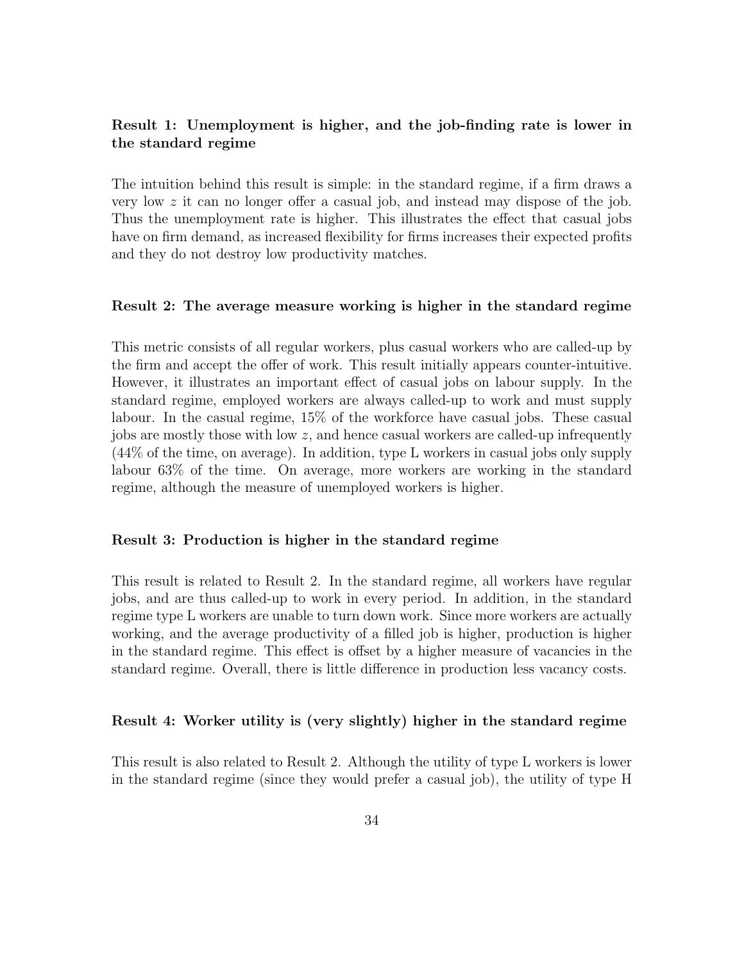### Result 1: Unemployment is higher, and the job-finding rate is lower in the standard regime

The intuition behind this result is simple: in the standard regime, if a firm draws a very low  $z$  it can no longer offer a casual job, and instead may dispose of the job. Thus the unemployment rate is higher. This illustrates the effect that casual jobs have on firm demand, as increased flexibility for firms increases their expected profits and they do not destroy low productivity matches.

#### Result 2: The average measure working is higher in the standard regime

This metric consists of all regular workers, plus casual workers who are called-up by the firm and accept the offer of work. This result initially appears counter-intuitive. However, it illustrates an important effect of casual jobs on labour supply. In the standard regime, employed workers are always called-up to work and must supply labour. In the casual regime, 15% of the workforce have casual jobs. These casual jobs are mostly those with low  $z$ , and hence casual workers are called-up infrequently (44% of the time, on average). In addition, type L workers in casual jobs only supply labour 63% of the time. On average, more workers are working in the standard regime, although the measure of unemployed workers is higher.

#### Result 3: Production is higher in the standard regime

This result is related to Result 2. In the standard regime, all workers have regular jobs, and are thus called-up to work in every period. In addition, in the standard regime type L workers are unable to turn down work. Since more workers are actually working, and the average productivity of a filled job is higher, production is higher in the standard regime. This effect is offset by a higher measure of vacancies in the standard regime. Overall, there is little difference in production less vacancy costs.

#### Result 4: Worker utility is (very slightly) higher in the standard regime

This result is also related to Result 2. Although the utility of type L workers is lower in the standard regime (since they would prefer a casual job), the utility of type H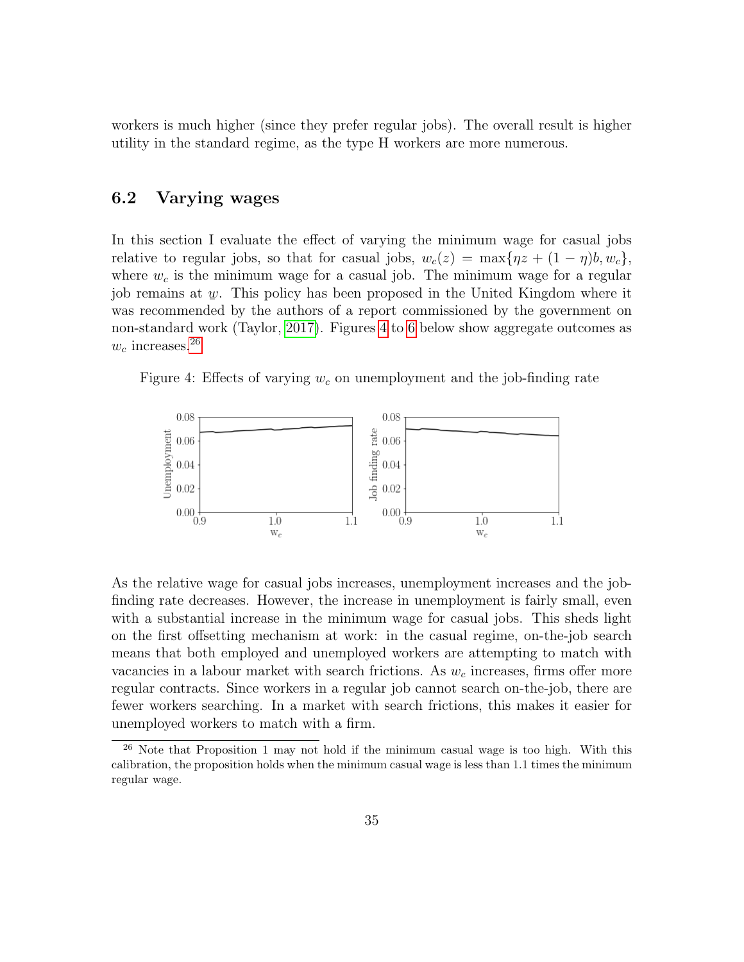workers is much higher (since they prefer regular jobs). The overall result is higher utility in the standard regime, as the type H workers are more numerous.

### 6.2 Varying wages

In this section I evaluate the effect of varying the minimum wage for casual jobs relative to regular jobs, so that for casual jobs,  $w_c(z) = \max\{\eta z + (1 - \eta)b, w_c\},\$ where  $w_c$  is the minimum wage for a casual job. The minimum wage for a regular job remains at  $\psi$ . This policy has been proposed in the United Kingdom where it was recommended by the authors of a report commissioned by the government on non-standard work (Taylor, [2017\)](#page-42-0). Figures [4](#page-36-0) to [6](#page-37-0) below show aggregate outcomes as  $w_c$  increases.<sup>[26](#page-36-1)</sup>

<span id="page-36-0"></span>Figure 4: Effects of varying  $w_c$  on unemployment and the job-finding rate



As the relative wage for casual jobs increases, unemployment increases and the jobfinding rate decreases. However, the increase in unemployment is fairly small, even with a substantial increase in the minimum wage for casual jobs. This sheds light on the first offsetting mechanism at work: in the casual regime, on-the-job search means that both employed and unemployed workers are attempting to match with vacancies in a labour market with search frictions. As  $w_c$  increases, firms offer more regular contracts. Since workers in a regular job cannot search on-the-job, there are fewer workers searching. In a market with search frictions, this makes it easier for unemployed workers to match with a firm.

<span id="page-36-1"></span> $26$  Note that Proposition 1 may not hold if the minimum casual wage is too high. With this calibration, the proposition holds when the minimum casual wage is less than 1.1 times the minimum regular wage.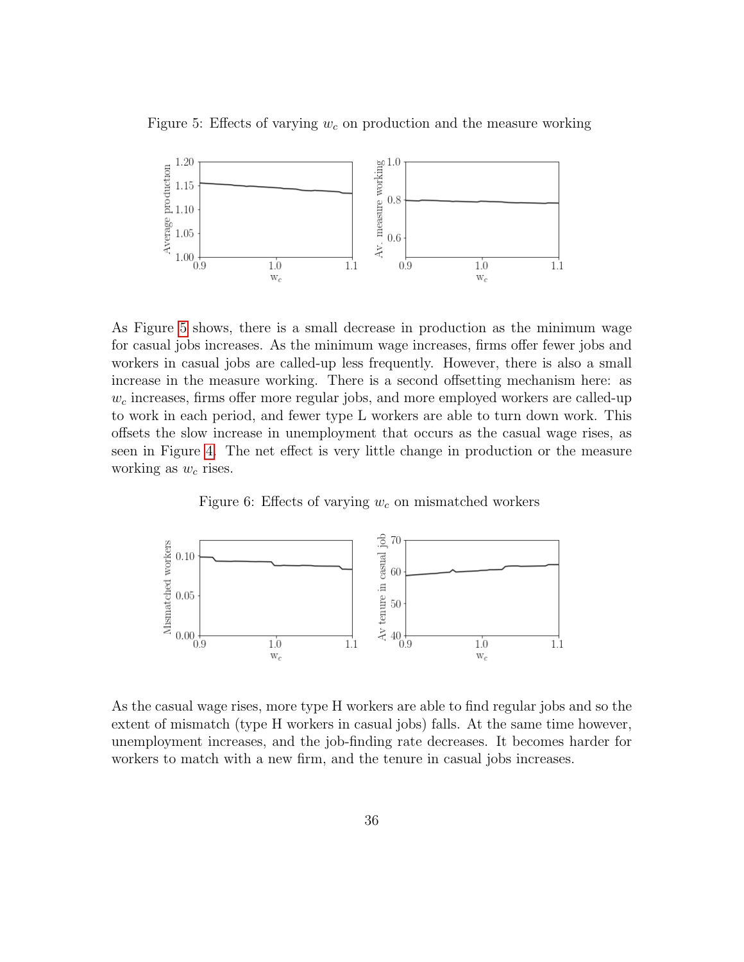<span id="page-37-1"></span>Figure 5: Effects of varying  $w_c$  on production and the measure working



As Figure [5](#page-37-1) shows, there is a small decrease in production as the minimum wage for casual jobs increases. As the minimum wage increases, firms offer fewer jobs and workers in casual jobs are called-up less frequently. However, there is also a small increase in the measure working. There is a second offsetting mechanism here: as  $w_c$  increases, firms offer more regular jobs, and more employed workers are called-up to work in each period, and fewer type L workers are able to turn down work. This offsets the slow increase in unemployment that occurs as the casual wage rises, as seen in Figure [4.](#page-36-0) The net effect is very little change in production or the measure working as  $w_c$  rises.

Figure 6: Effects of varying  $w_c$  on mismatched workers

<span id="page-37-0"></span>

As the casual wage rises, more type H workers are able to find regular jobs and so the extent of mismatch (type H workers in casual jobs) falls. At the same time however, unemployment increases, and the job-finding rate decreases. It becomes harder for workers to match with a new firm, and the tenure in casual jobs increases.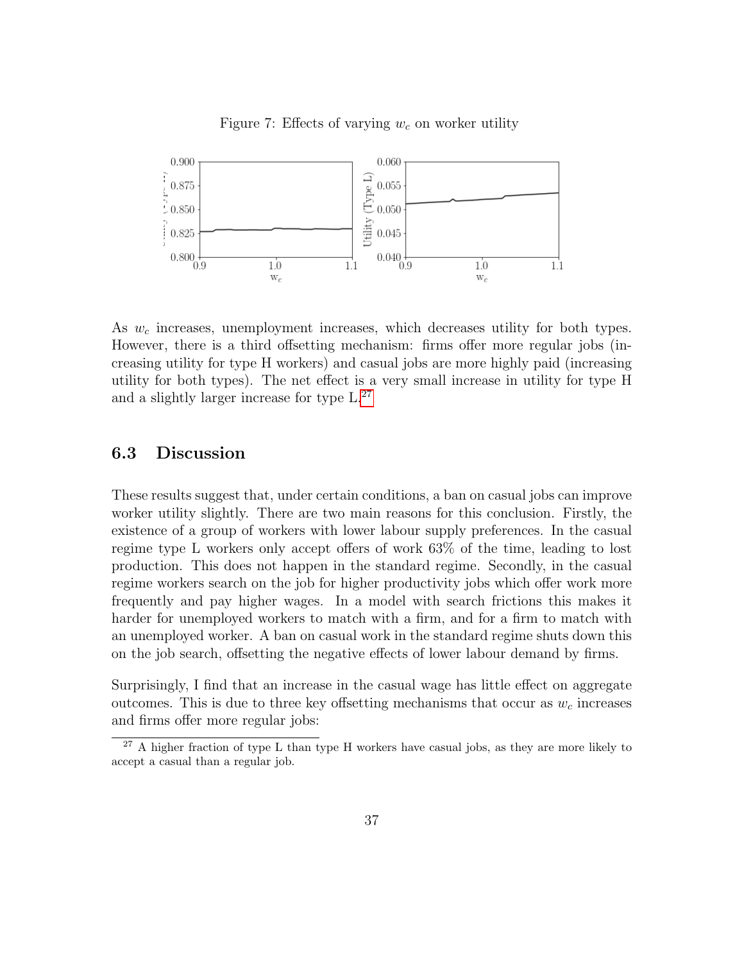

Figure 7: Effects of varying  $w_c$  on worker utility

As  $w_c$  increases, unemployment increases, which decreases utility for both types. However, there is a third offsetting mechanism: firms offer more regular jobs (increasing utility for type H workers) and casual jobs are more highly paid (increasing utility for both types). The net effect is a very small increase in utility for type H and a slightly larger increase for type L.[27](#page-38-0)

### 6.3 Discussion

These results suggest that, under certain conditions, a ban on casual jobs can improve worker utility slightly. There are two main reasons for this conclusion. Firstly, the existence of a group of workers with lower labour supply preferences. In the casual regime type L workers only accept offers of work 63% of the time, leading to lost production. This does not happen in the standard regime. Secondly, in the casual regime workers search on the job for higher productivity jobs which offer work more frequently and pay higher wages. In a model with search frictions this makes it harder for unemployed workers to match with a firm, and for a firm to match with an unemployed worker. A ban on casual work in the standard regime shuts down this on the job search, offsetting the negative effects of lower labour demand by firms.

Surprisingly, I find that an increase in the casual wage has little effect on aggregate outcomes. This is due to three key offsetting mechanisms that occur as  $w_c$  increases and firms offer more regular jobs:

<span id="page-38-0"></span> $27$  A higher fraction of type L than type H workers have casual jobs, as they are more likely to accept a casual than a regular job.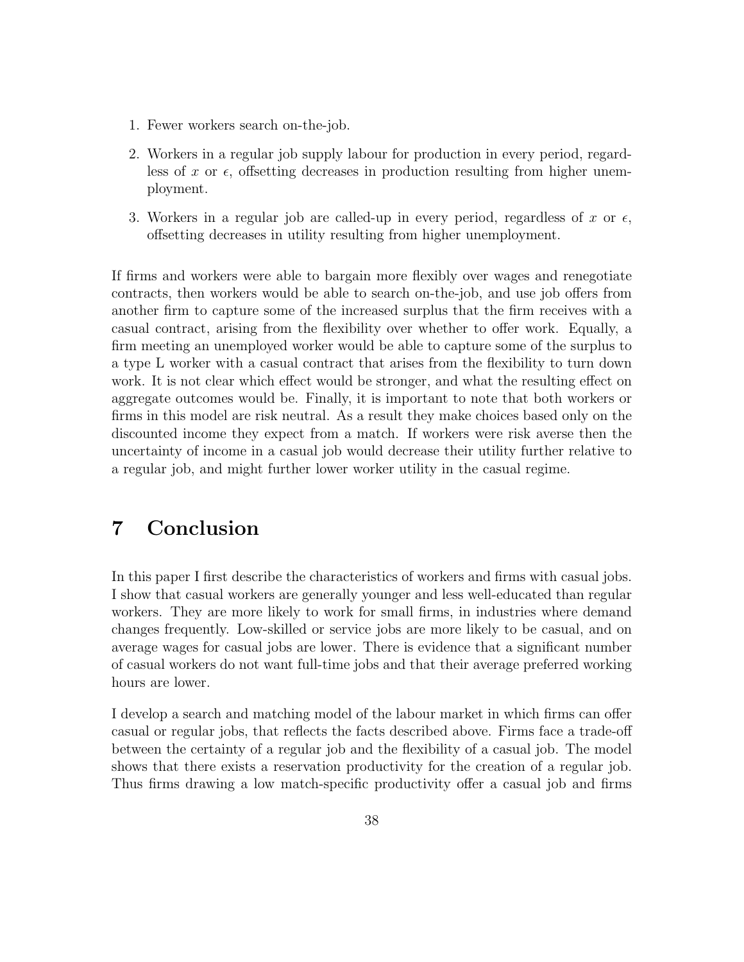- 1. Fewer workers search on-the-job.
- 2. Workers in a regular job supply labour for production in every period, regardless of x or  $\epsilon$ , offsetting decreases in production resulting from higher unemployment.
- 3. Workers in a regular job are called-up in every period, regardless of x or  $\epsilon$ , offsetting decreases in utility resulting from higher unemployment.

If firms and workers were able to bargain more flexibly over wages and renegotiate contracts, then workers would be able to search on-the-job, and use job offers from another firm to capture some of the increased surplus that the firm receives with a casual contract, arising from the flexibility over whether to offer work. Equally, a firm meeting an unemployed worker would be able to capture some of the surplus to a type L worker with a casual contract that arises from the flexibility to turn down work. It is not clear which effect would be stronger, and what the resulting effect on aggregate outcomes would be. Finally, it is important to note that both workers or firms in this model are risk neutral. As a result they make choices based only on the discounted income they expect from a match. If workers were risk averse then the uncertainty of income in a casual job would decrease their utility further relative to a regular job, and might further lower worker utility in the casual regime.

# <span id="page-39-0"></span>7 Conclusion

In this paper I first describe the characteristics of workers and firms with casual jobs. I show that casual workers are generally younger and less well-educated than regular workers. They are more likely to work for small firms, in industries where demand changes frequently. Low-skilled or service jobs are more likely to be casual, and on average wages for casual jobs are lower. There is evidence that a significant number of casual workers do not want full-time jobs and that their average preferred working hours are lower.

I develop a search and matching model of the labour market in which firms can offer casual or regular jobs, that reflects the facts described above. Firms face a trade-off between the certainty of a regular job and the flexibility of a casual job. The model shows that there exists a reservation productivity for the creation of a regular job. Thus firms drawing a low match-specific productivity offer a casual job and firms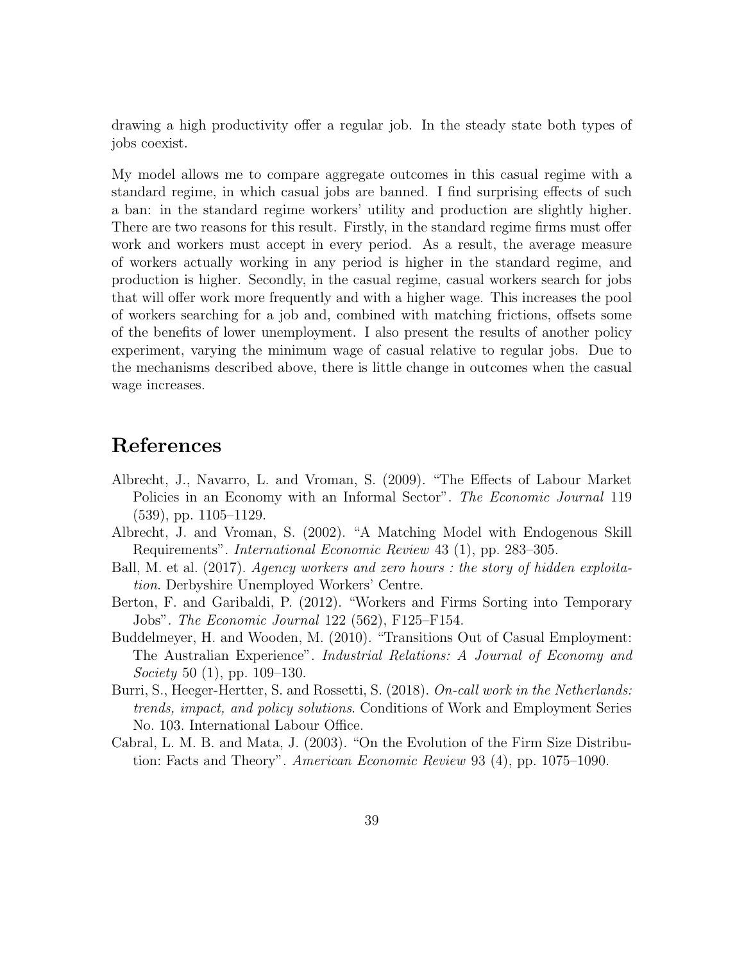drawing a high productivity offer a regular job. In the steady state both types of jobs coexist.

My model allows me to compare aggregate outcomes in this casual regime with a standard regime, in which casual jobs are banned. I find surprising effects of such a ban: in the standard regime workers' utility and production are slightly higher. There are two reasons for this result. Firstly, in the standard regime firms must offer work and workers must accept in every period. As a result, the average measure of workers actually working in any period is higher in the standard regime, and production is higher. Secondly, in the casual regime, casual workers search for jobs that will offer work more frequently and with a higher wage. This increases the pool of workers searching for a job and, combined with matching frictions, offsets some of the benefits of lower unemployment. I also present the results of another policy experiment, varying the minimum wage of casual relative to regular jobs. Due to the mechanisms described above, there is little change in outcomes when the casual wage increases.

# References

- <span id="page-40-5"></span>Albrecht, J., Navarro, L. and Vroman, S. (2009). "The Effects of Labour Market Policies in an Economy with an Informal Sector". The Economic Journal 119 (539), pp. 1105–1129.
- <span id="page-40-1"></span>Albrecht, J. and Vroman, S. (2002). "A Matching Model with Endogenous Skill Requirements". International Economic Review 43 (1), pp. 283–305.
- <span id="page-40-4"></span>Ball, M. et al. (2017). Agency workers and zero hours : the story of hidden exploitation. Derbyshire Unemployed Workers' Centre.
- <span id="page-40-3"></span>Berton, F. and Garibaldi, P. (2012). "Workers and Firms Sorting into Temporary Jobs". The Economic Journal 122 (562), F125–F154.
- <span id="page-40-2"></span>Buddelmeyer, H. and Wooden, M. (2010). "Transitions Out of Casual Employment: The Australian Experience". Industrial Relations: A Journal of Economy and Society 50  $(1)$ , pp. 109–130.
- <span id="page-40-0"></span>Burri, S., Heeger-Hertter, S. and Rossetti, S. (2018). On-call work in the Netherlands: trends, impact, and policy solutions. Conditions of Work and Employment Series No. 103. International Labour Office.
- <span id="page-40-6"></span>Cabral, L. M. B. and Mata, J. (2003). "On the Evolution of the Firm Size Distribution: Facts and Theory". American Economic Review 93 (4), pp. 1075–1090.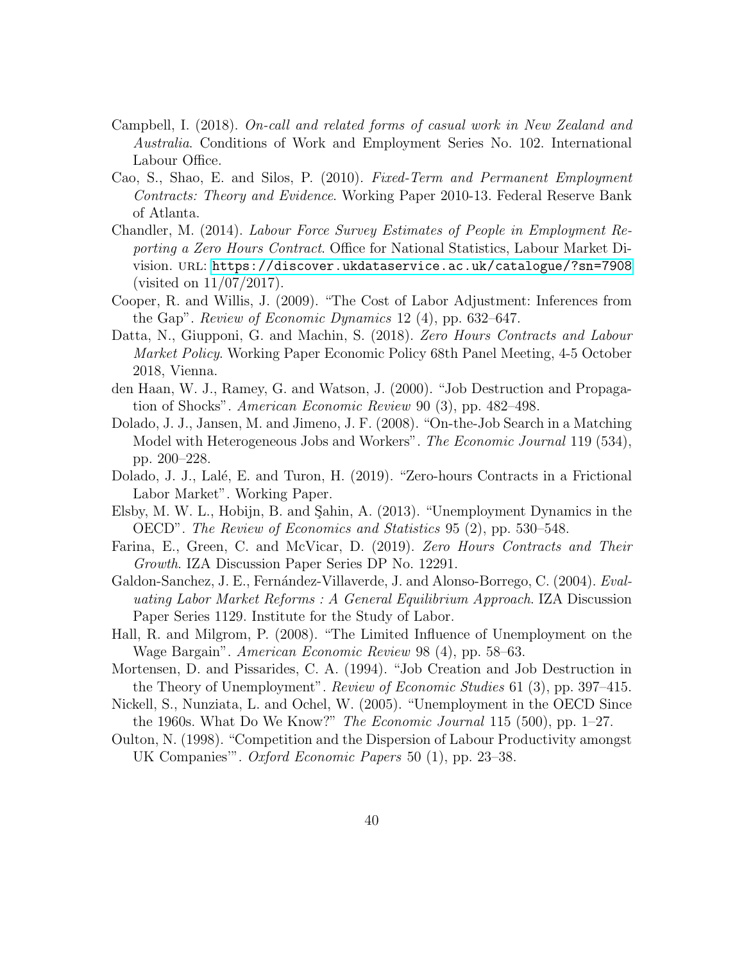- <span id="page-41-7"></span>Campbell, I. (2018). On-call and related forms of casual work in New Zealand and Australia. Conditions of Work and Employment Series No. 102. International Labour Office.
- <span id="page-41-6"></span>Cao, S., Shao, E. and Silos, P. (2010). Fixed-Term and Permanent Employment Contracts: Theory and Evidence. Working Paper 2010-13. Federal Reserve Bank of Atlanta.
- <span id="page-41-8"></span>Chandler, M. (2014). Labour Force Survey Estimates of People in Employment Reporting a Zero Hours Contract. Office for National Statistics, Labour Market Division. URL: <https://discover.ukdataservice.ac.uk/catalogue/?sn=7908> (visited on 11/07/2017).
- <span id="page-41-4"></span>Cooper, R. and Willis, J. (2009). "The Cost of Labor Adjustment: Inferences from the Gap". Review of Economic Dynamics 12 (4), pp. 632–647.
- <span id="page-41-0"></span>Datta, N., Giupponi, G. and Machin, S. (2018). Zero Hours Contracts and Labour Market Policy. Working Paper Economic Policy 68th Panel Meeting, 4-5 October 2018, Vienna.
- <span id="page-41-11"></span>den Haan, W. J., Ramey, G. and Watson, J. (2000). "Job Destruction and Propagation of Shocks". American Economic Review 90 (3), pp. 482–498.
- <span id="page-41-2"></span>Dolado, J. J., Jansen, M. and Jimeno, J. F. (2008). "On-the-Job Search in a Matching Model with Heterogeneous Jobs and Workers". The Economic Journal 119 (534), pp. 200–228.
- <span id="page-41-3"></span>Dolado, J. J., Lalé, E. and Turon, H. (2019). "Zero-hours Contracts in a Frictional Labor Market". Working Paper.
- <span id="page-41-14"></span>Elsby, M. W. L., Hobijn, B. and Sahin, A. (2013). "Unemployment Dynamics in the OECD". The Review of Economics and Statistics 95 (2), pp. 530–548.
- <span id="page-41-1"></span>Farina, E., Green, C. and McVicar, D. (2019). Zero Hours Contracts and Their Growth. IZA Discussion Paper Series DP No. 12291.
- <span id="page-41-5"></span>Galdon-Sanchez, J. E., Fernández-Villaverde, J. and Alonso-Borrego, C. (2004). Evaluating Labor Market Reforms : A General Equilibrium Approach. IZA Discussion Paper Series 1129. Institute for the Study of Labor.
- <span id="page-41-10"></span>Hall, R. and Milgrom, P. (2008). "The Limited Influence of Unemployment on the Wage Bargain". American Economic Review 98 (4), pp. 58–63.
- <span id="page-41-9"></span>Mortensen, D. and Pissarides, C. A. (1994). "Job Creation and Job Destruction in the Theory of Unemployment". Review of Economic Studies 61 (3), pp. 397–415.
- <span id="page-41-12"></span>Nickell, S., Nunziata, L. and Ochel, W. (2005). "Unemployment in the OECD Since the 1960s. What Do We Know?" The Economic Journal 115 (500), pp.  $1-27$ .
- <span id="page-41-13"></span>Oulton, N. (1998). "Competition and the Dispersion of Labour Productivity amongst UK Companies'". Oxford Economic Papers 50 (1), pp. 23–38.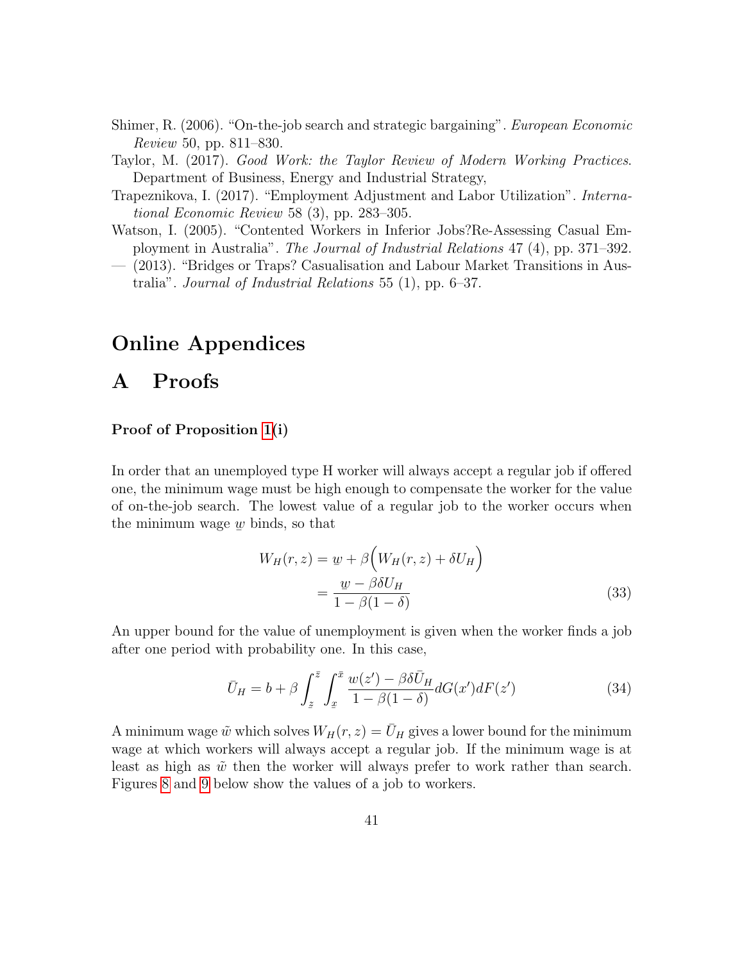- <span id="page-42-4"></span>Shimer, R. (2006). "On-the-job search and strategic bargaining". European Economic Review 50, pp. 811–830.
- <span id="page-42-0"></span>Taylor, M. (2017). Good Work: the Taylor Review of Modern Working Practices. Department of Business, Energy and Industrial Strategy,
- <span id="page-42-3"></span>Trapeznikova, I. (2017). "Employment Adjustment and Labor Utilization". International Economic Review 58 (3), pp. 283–305.
- <span id="page-42-1"></span>Watson, I. (2005). "Contented Workers in Inferior Jobs?Re-Assessing Casual Employment in Australia". The Journal of Industrial Relations 47 (4), pp. 371–392.
- <span id="page-42-2"></span>— (2013). "Bridges or Traps? Casualisation and Labour Market Transitions in Australia". Journal of Industrial Relations 55 (1), pp. 6–37.

# Online Appendices

# A Proofs

#### Proof of Proposition [1\(](#page-22-1)i)

In order that an unemployed type H worker will always accept a regular job if offered one, the minimum wage must be high enough to compensate the worker for the value of on-the-job search. The lowest value of a regular job to the worker occurs when the minimum wage ے۔<br>ا  $\psi$  binds, so that

$$
W_H(r, z) = \underline{w} + \beta \left( W_H(r, z) + \delta U_H \right)
$$
  
= 
$$
\frac{\underline{w} - \beta \delta U_H}{1 - \beta (1 - \delta)}
$$
 (33)

An upper bound for the value of unemployment is given when the worker finds a job after one period with probability one. In this case,

$$
\bar{U}_H = b + \beta \int_z^{\bar{z}} \int_x^{\bar{x}} \frac{w(z') - \beta \delta \bar{U}_H}{1 - \beta (1 - \delta)} dG(x') dF(z')
$$
(34)

A minimum wage  $\tilde{w}$  which solves  $W_H(r, z) = \bar{U}_H$  gives a lower bound for the minimum wage at which workers will always accept a regular job. If the minimum wage is at least as high as  $\tilde{w}$  then the worker will always prefer to work rather than search. Figures [8](#page-46-1) and [9](#page-46-1) below show the values of a job to workers.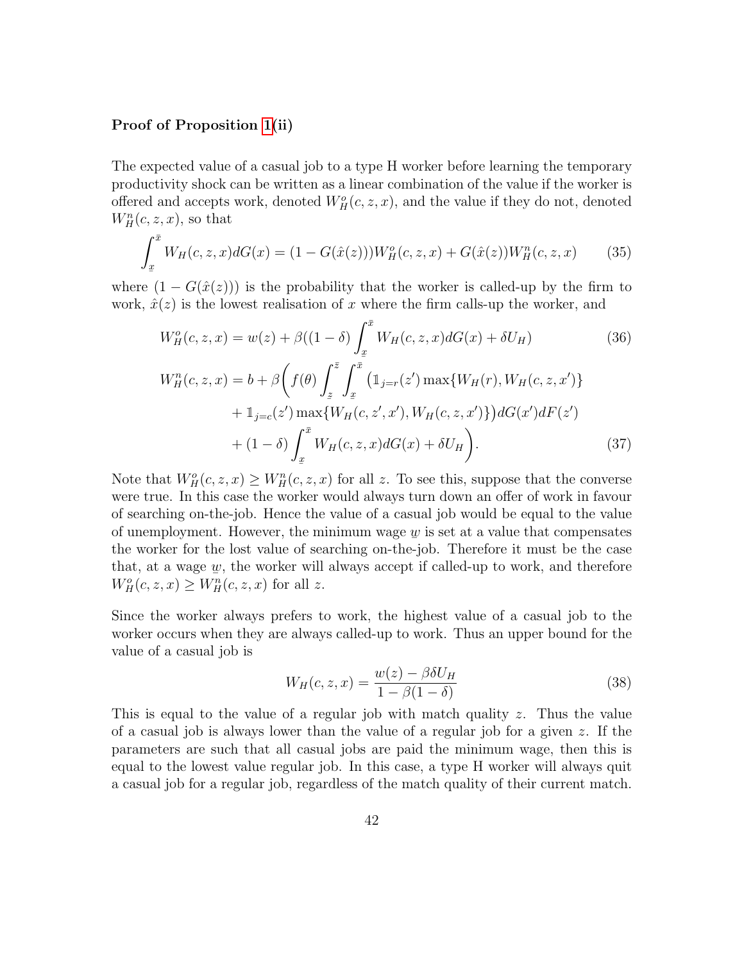#### Proof of Proposition [1\(](#page-22-1)ii)

The expected value of a casual job to a type H worker before learning the temporary productivity shock can be written as a linear combination of the value if the worker is offered and accepts work, denoted  $W_H^o(c, z, x)$ , and the value if they do not, denoted  $W_H^n(c, z, x)$ , so that

$$
\int_{\underline{x}}^{\bar{x}} W_H(c, z, x) dG(x) = (1 - G(\hat{x}(z))) W_H^o(c, z, x) + G(\hat{x}(z)) W_H^n(c, z, x)
$$
(35)

where  $(1 - G(\hat{x}(z)))$  is the probability that the worker is called-up by the firm to work,  $\hat{x}(z)$  is the lowest realisation of x where the firm calls-up the worker, and

<span id="page-43-0"></span>
$$
W_H^o(c, z, x) = w(z) + \beta((1 - \delta) \int_x^{\bar{x}} W_H(c, z, x) dG(x) + \delta U_H)
$$
(36)  

$$
W_H^n(c, z, x) = b + \beta \left( f(\theta) \int_z^{\bar{z}} \int_x^{\bar{x}} (1_{j=r}(z') \max\{W_H(r), W_H(c, z, x')\} + 1_{j=c}(z') \max\{W_H(c, z', x'), W_H(c, z, x')\} ) dG(x') dF(z')
$$

$$
+ (1 - \delta) \int_x^{\bar{x}} W_H(c, z, x) dG(x) + \delta U_H
$$
(37)

Note that  $W_H^o(c, z, x) \ge W_H^n(c, z, x)$  for all z. To see this, suppose that the converse were true. In this case the worker would always turn down an offer of work in favour of searching on-the-job. Hence the value of a casual job would be equal to the value of unemployment. However, the minimum wage  $\psi$  is set at a value that compensates the worker for the lost value of searching on-the-job. Therefore it must be the case that, at a wage  $\psi$ , the worker will always accept if called-up to work, and therefore  $W_H^o(c, z, x) \geq W_H^n(c, z, x)$  for all z.

Since the worker always prefers to work, the highest value of a casual job to the worker occurs when they are always called-up to work. Thus an upper bound for the value of a casual job is

$$
W_H(c, z, x) = \frac{w(z) - \beta \delta U_H}{1 - \beta (1 - \delta)}\tag{38}
$$

This is equal to the value of a regular job with match quality z. Thus the value of a casual job is always lower than the value of a regular job for a given z. If the parameters are such that all casual jobs are paid the minimum wage, then this is equal to the lowest value regular job. In this case, a type H worker will always quit a casual job for a regular job, regardless of the match quality of their current match.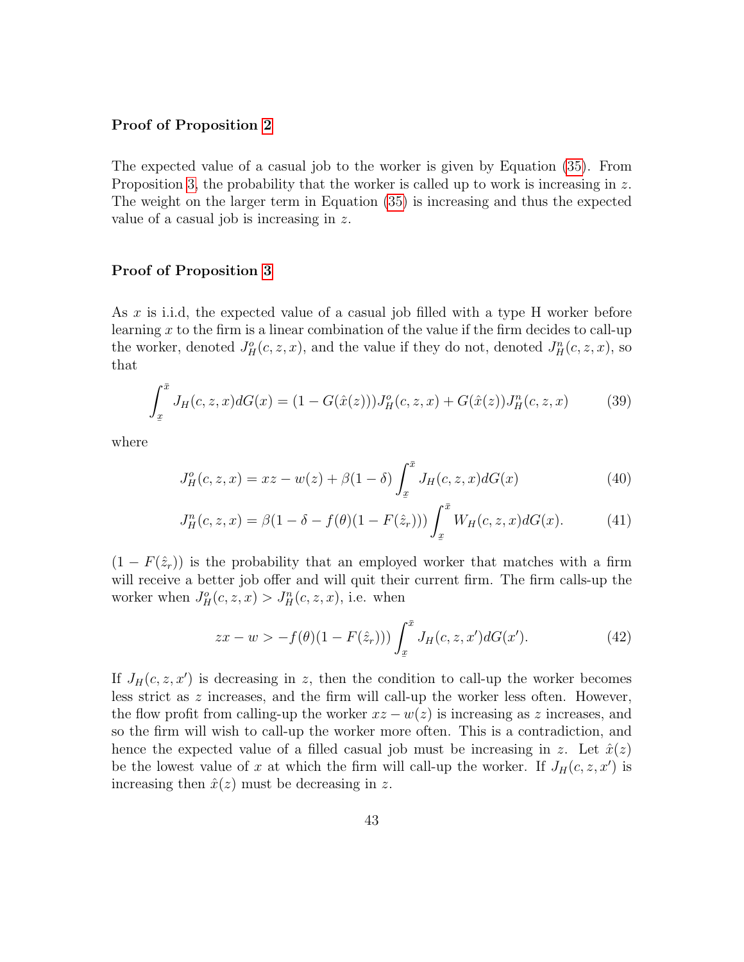#### Proof of Proposition [2](#page-22-2)

The expected value of a casual job to the worker is given by Equation [\(35\)](#page-43-0). From Proposition [3,](#page-24-4) the probability that the worker is called up to work is increasing in z. The weight on the larger term in Equation [\(35\)](#page-43-0) is increasing and thus the expected value of a casual job is increasing in z.

#### Proof of Proposition [3](#page-24-4)

As  $x$  is i.i.d, the expected value of a casual job filled with a type H worker before learning x to the firm is a linear combination of the value if the firm decides to call-up the worker, denoted  $J_H^o(c, z, x)$ , and the value if they do not, denoted  $J_H^n(c, z, x)$ , so that

$$
\int_{x}^{\bar{x}} J_H(c, z, x) dG(x) = (1 - G(\hat{x}(z))) J_H^o(c, z, x) + G(\hat{x}(z)) J_H^n(c, z, x)
$$
(39)

where

$$
J_H^o(c, z, x) = xz - w(z) + \beta(1 - \delta) \int_x^{\bar{x}} J_H(c, z, x) dG(x)
$$
 (40)

$$
J_H^n(c, z, x) = \beta(1 - \delta - f(\theta)(1 - F(\hat{z}_r))) \int_x^{\bar{x}} W_H(c, z, x) dG(x).
$$
 (41)

 $(1 - F(\hat{z}_r))$  is the probability that an employed worker that matches with a firm will receive a better job offer and will quit their current firm. The firm calls-up the worker when  $J_H^o(c, z, x) > J_H^n(c, z, x)$ , i.e. when

$$
zx - w > -f(\theta)(1 - F(\hat{z}_r))) \int_{\underline{x}}^{\bar{x}} J_H(c, z, x') dG(x'). \tag{42}
$$

If  $J_H(c, z, x')$  is decreasing in z, then the condition to call-up the worker becomes less strict as z increases, and the firm will call-up the worker less often. However, the flow profit from calling-up the worker  $xz - w(z)$  is increasing as z increases, and so the firm will wish to call-up the worker more often. This is a contradiction, and hence the expected value of a filled casual job must be increasing in z. Let  $\hat{x}(z)$ be the lowest value of x at which the firm will call-up the worker. If  $J_H(c, z, x')$  is increasing then  $\hat{x}(z)$  must be decreasing in z.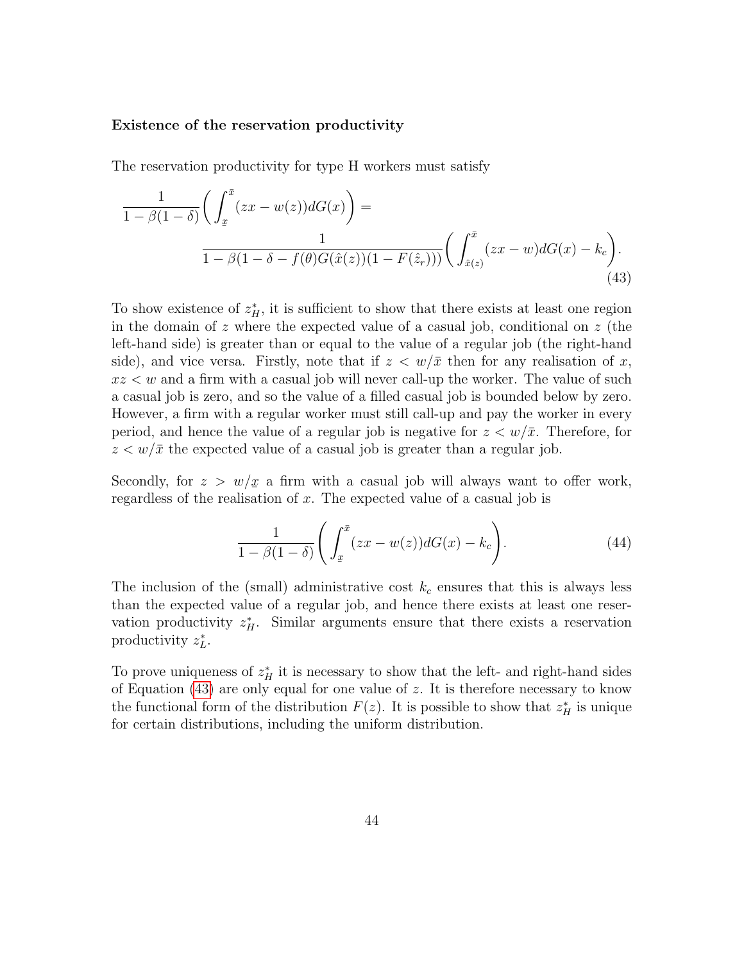#### Existence of the reservation productivity

The reservation productivity for type H workers must satisfy

$$
\frac{1}{1 - \beta(1 - \delta)} \bigg( \int_{\underline{x}}^{\bar{x}} (zx - w(z)) dG(x) \bigg) =
$$
\n
$$
\frac{1}{1 - \beta(1 - \delta - f(\theta)G(\hat{x}(z))(1 - F(\hat{z}_r)))} \bigg( \int_{\hat{x}(z)}^{\bar{x}} (zx - w) dG(x) - k_c \bigg). \tag{43}
$$

To show existence of  $z_H^*$ , it is sufficient to show that there exists at least one region in the domain of z where the expected value of a casual job, conditional on z (the left-hand side) is greater than or equal to the value of a regular job (the right-hand side), and vice versa. Firstly, note that if  $z < w/\bar{x}$  then for any realisation of x,  $xz < w$  and a firm with a casual job will never call-up the worker. The value of such a casual job is zero, and so the value of a filled casual job is bounded below by zero. However, a firm with a regular worker must still call-up and pay the worker in every period, and hence the value of a regular job is negative for  $z < w/\bar{x}$ . Therefore, for  $z < w/\bar{x}$  the expected value of a casual job is greater than a regular job.

Secondly, for  $z > w/x$  a firm with a casual job will always want to offer work, regardless of the realisation of x. The expected value of a casual job is

<span id="page-45-0"></span>
$$
\frac{1}{1-\beta(1-\delta)}\Bigg(\int_x^{\bar{x}}(zx-w(z))dG(x)-k_c\Bigg). \tag{44}
$$

The inclusion of the (small) administrative cost  $k_c$  ensures that this is always less than the expected value of a regular job, and hence there exists at least one reservation productivity  $z_H^*$ . Similar arguments ensure that there exists a reservation productivity  $z_L^*$ .

To prove uniqueness of  $z_H^*$  it is necessary to show that the left- and right-hand sides of Equation  $(43)$  are only equal for one value of z. It is therefore necessary to know the functional form of the distribution  $F(z)$ . It is possible to show that  $z_H^*$  is unique for certain distributions, including the uniform distribution.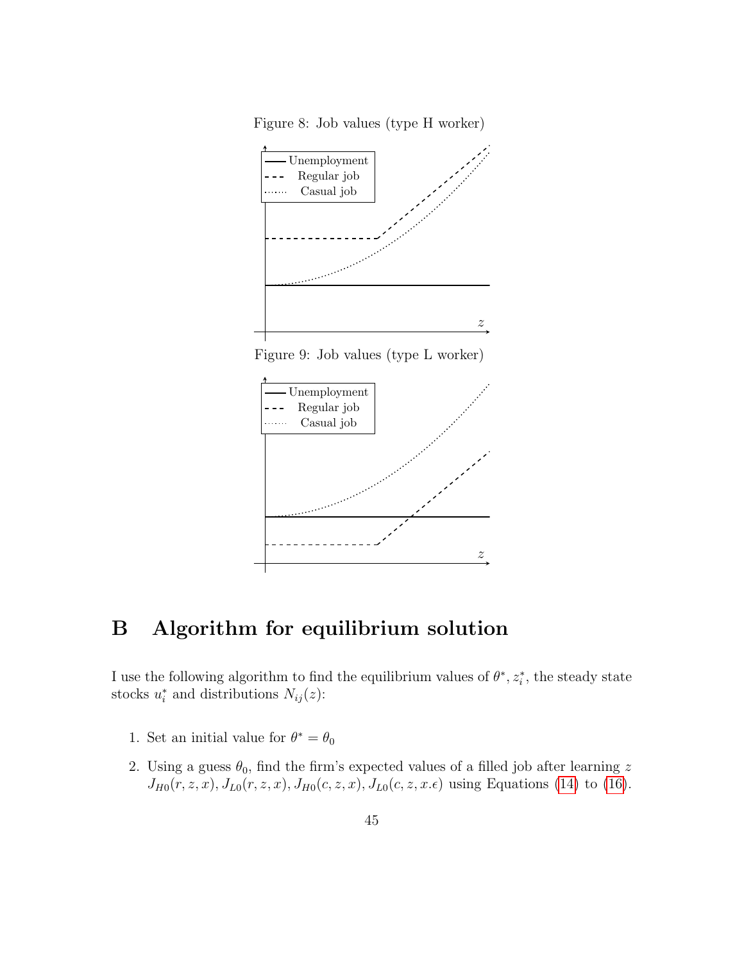Figure 8: Job values (type H worker)

<span id="page-46-1"></span>

Figure 9: Job values (type L worker)



# <span id="page-46-0"></span>B Algorithm for equilibrium solution

I use the following algorithm to find the equilibrium values of  $\theta^*, z_i^*$ , the steady state stocks  $u_i^*$  and distributions  $N_{ij}(z)$ :

- 1. Set an initial value for  $\theta^* = \theta_0$
- 2. Using a guess  $\theta_0$ , find the firm's expected values of a filled job after learning z  $J_{H0}(r, z, x), J_{L0}(r, z, x), J_{H0}(c, z, x), J_{L0}(c, z, x, \epsilon)$  using Equations [\(14\)](#page-24-3) to [\(16\)](#page-24-2).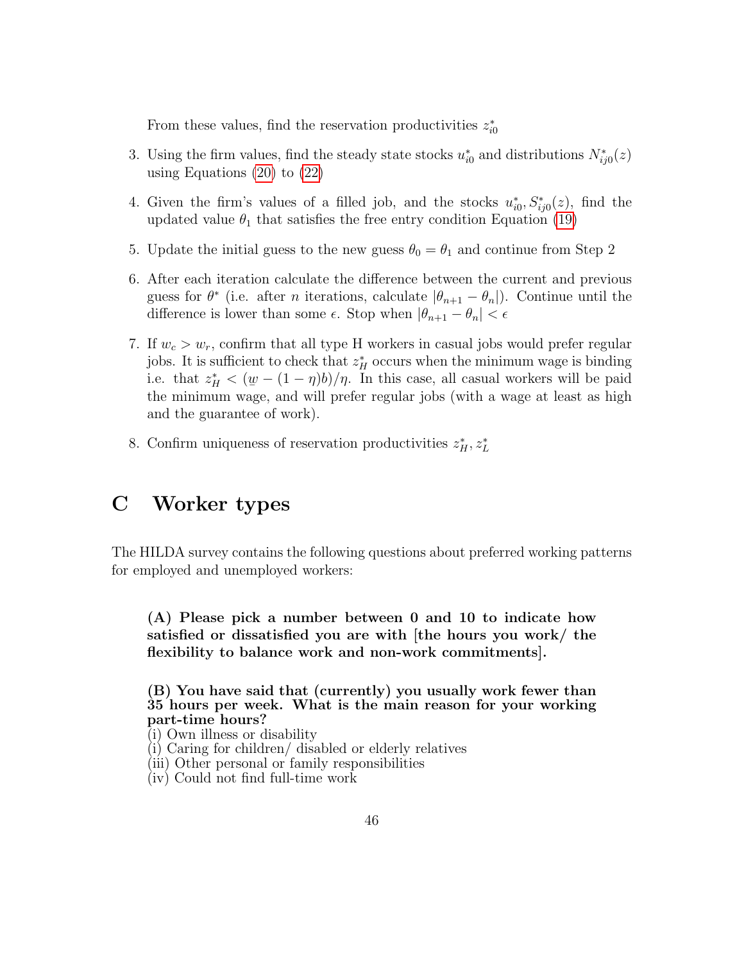From these values, find the reservation productivities  $z_{i0}^*$ 

- 3. Using the firm values, find the steady state stocks  $u_{i0}^*$  and distributions  $N_{ij0}^*(z)$ using Equations [\(20\)](#page-27-2) to [\(22\)](#page-28-1)
- 4. Given the firm's values of a filled job, and the stocks  $u_{i0}^*, S_{ij0}^*(z)$ , find the updated value  $\theta_1$  that satisfies the free entry condition Equation [\(19\)](#page-27-0)
- 5. Update the initial guess to the new guess  $\theta_0 = \theta_1$  and continue from Step 2
- 6. After each iteration calculate the difference between the current and previous guess for  $\theta^*$  (i.e. after *n* iterations, calculate  $|\theta_{n+1} - \theta_n|$ ). Continue until the difference is lower than some  $\epsilon$ . Stop when  $|\theta_{n+1} - \theta_n| < \epsilon$
- 7. If  $w_c > w_r$ , confirm that all type H workers in casual jobs would prefer regular jobs. It is sufficient to check that  $z_H^*$  occurs when the minimum wage is binding i.e. that  $z_H^* < (\underline{w} - (1 - \eta)b)/\eta$ . In this case, all casual workers will be paid the minimum wage, and will prefer regular jobs (with a wage at least as high and the guarantee of work).
- 8. Confirm uniqueness of reservation productivities  $z_H^*, z_L^*$

# C Worker types

The HILDA survey contains the following questions about preferred working patterns for employed and unemployed workers:

(A) Please pick a number between 0 and 10 to indicate how satisfied or dissatisfied you are with [the hours you work/ the flexibility to balance work and non-work commitments].

(B) You have said that (currently) you usually work fewer than 35 hours per week. What is the main reason for your working part-time hours?

- (i) Own illness or disability
- (i) Caring for children/ disabled or elderly relatives
- (iii) Other personal or family responsibilities
- (iv) Could not find full-time work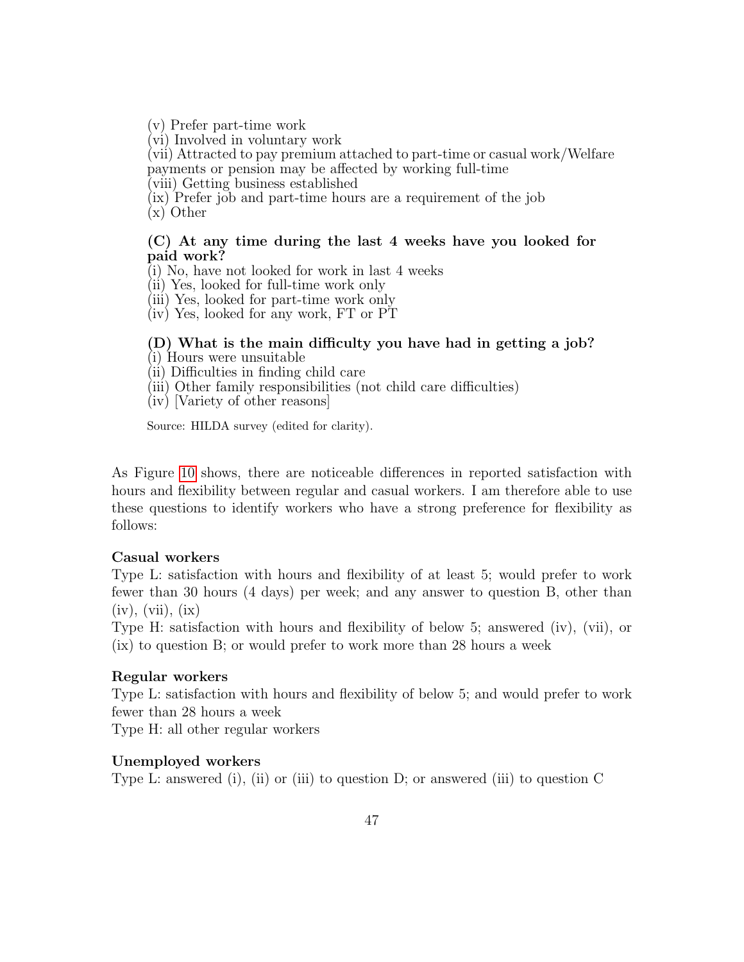(v) Prefer part-time work

(vi) Involved in voluntary work

(vii) Attracted to pay premium attached to part-time or casual work/Welfare payments or pension may be affected by working full-time

(viii) Getting business established

(ix) Prefer job and part-time hours are a requirement of the job

(x) Other

### (C) At any time during the last 4 weeks have you looked for paid work?

(i) No, have not looked for work in last 4 weeks

(ii) Yes, looked for full-time work only

(iii) Yes, looked for part-time work only

(iv) Yes, looked for any work, FT or PT

# (D) What is the main difficulty you have had in getting a job?

(i) Hours were unsuitable

(ii) Difficulties in finding child care

(iii) Other family responsibilities (not child care difficulties)

(iv) [Variety of other reasons]

Source: HILDA survey (edited for clarity).

As Figure [10](#page-49-0) shows, there are noticeable differences in reported satisfaction with hours and flexibility between regular and casual workers. I am therefore able to use these questions to identify workers who have a strong preference for flexibility as follows:

### Casual workers

Type L: satisfaction with hours and flexibility of at least 5; would prefer to work fewer than 30 hours (4 days) per week; and any answer to question B, other than  $(iv), (vii), (ix)$ 

Type H: satisfaction with hours and flexibility of below 5; answered (iv), (vii), or (ix) to question B; or would prefer to work more than 28 hours a week

#### Regular workers

Type L: satisfaction with hours and flexibility of below 5; and would prefer to work fewer than 28 hours a week

Type H: all other regular workers

#### Unemployed workers

Type L: answered (i), (ii) or (iii) to question D; or answered (iii) to question C